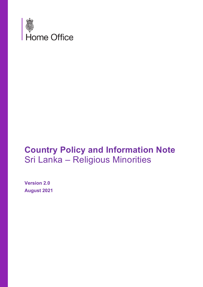

# **Country Policy and Information Note** Sri Lanka – Religious Minorities

**Version 2.0 August 2021**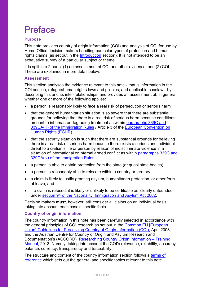# Preface

## **Purpose**

This note provides country of origin information (COI) and analysis of COI for use by Home Office decision makers handling particular types of protection and human rights claims (as set out in the [Introduction](#page-5-0) section). It is not intended to be an exhaustive survey of a particular subject or theme.

It is split into 2 parts: (1) an assessment of COI and other evidence; and (2) COI. These are explained in more detail below.

#### **Assessment**

This section analyses the evidence relevant to this note - that is information in the COI section; refugee/human rights laws and policies; and applicable caselaw - by describing this and its inter-relationships, and provides an assessment of, in general, whether one or more of the following applies**:**

- a person is reasonably likely to face a real risk of persecution or serious harm
- that the general humanitarian situation is so severe that there are substantial grounds for believing that there is a real risk of serious harm because conditions amount to inhuman or degrading treatment as within [paragraphs 339C and](https://www.gov.uk/guidance/immigration-rules/immigration-rules-part-11-asylum)  [339CA\(iii\) of the Immigration Rules](https://www.gov.uk/guidance/immigration-rules/immigration-rules-part-11-asylum) / Article 3 of the [European Convention on](https://www.echr.coe.int/Pages/home.aspx?p=basictexts&c=)  [Human Rights \(ECHR\)](https://www.echr.coe.int/Pages/home.aspx?p=basictexts&c=)
- that the security situation is such that there are substantial grounds for believing there is a real risk of serious harm because there exists a serious and individual threat to a civilian's life or person by reason of indiscriminate violence in a situation of international or internal armed conflict as within [paragraphs 339C and](https://www.gov.uk/guidance/immigration-rules/immigration-rules-part-11-asylum)  [339CA\(iv\) of the Immigration Rules](https://www.gov.uk/guidance/immigration-rules/immigration-rules-part-11-asylum)
- a person is able to obtain protection from the state (or quasi state bodies)
- a person is reasonably able to relocate within a country or territory
- a claim is likely to justify granting asylum, humanitarian protection, or other form of leave, and
- if a claim is refused, it is likely or unlikely to be certifiable as 'clearly unfounded' under [section 94 of the Nationality, Immigration and Asylum Act 2002.](https://www.legislation.gov.uk/ukpga/2002/41/section/94)

Decision makers **must**, however, still consider all claims on an individual basis, taking into account each case's specific facts.

## **Country of origin information**

The country information in this note has been carefully selected in accordance with the general principles of COI research as set out in the [Common EU \[European](http://www.refworld.org/docid/48493f7f2.html)  [Union\] Guidelines for Processing Country of Origin Information \(COI\),](http://www.refworld.org/docid/48493f7f2.html) April 2008, and the Austrian Centre for Country of Origin and Asylum Research and Documentation's (ACCORD), [Researching Country Origin Information](https://www.coi-training.net/researching-coi/) – Training [Manual,](https://www.coi-training.net/researching-coi/) 2013. Namely, taking into account the COI's relevance, reliability, accuracy, balance, currency, transparency and traceability.

The structure and content of the country information section follows a [terms of](#page-52-0)  [reference](#page-52-0) which sets out the general and specific topics relevant to this note.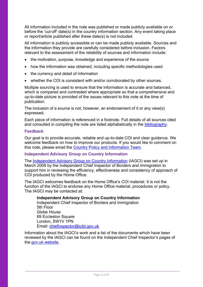All information included in the note was published or made publicly available on or before the 'cut-off' date(s) in the country information section. Any event taking place or report/article published after these date(s) is not included.

All information is publicly accessible or can be made publicly available. Sources and the information they provide are carefully considered before inclusion. Factors relevant to the assessment of the reliability of sources and information include:

- the motivation, purpose, knowledge and experience of the source
- how the information was obtained, including specific methodologies used
- the currency and detail of information
- whether the COI is consistent with and/or corroborated by other sources.

Multiple sourcing is used to ensure that the information is accurate and balanced, which is compared and contrasted where appropriate so that a comprehensive and up-to-date picture is provided of the issues relevant to this note at the time of publication.

The inclusion of a source is not, however, an endorsement of it or any view(s) expressed.

Each piece of information is referenced in a footnote. Full details of all sources cited and consulted in compiling the note are listed alphabetically in the [bibliography.](https://ukhomeoffice.sharepoint.com/sites/PROC975/SharedDocuments/Countries/Bangladesh/CPINs/Bangladesh-Actors%20of%20protection-CPIN-v1.0(draft).docx#_Bibliography)

#### **Feedback**

Our goal is to provide accurate, reliable and up-to-date COI and clear guidance. We welcome feedback on how to improve our products. If you would like to comment on this note, please email the [Country Policy and Information Team.](mailto:cipu@homeoffice.gov.uk)

## **Independent Advisory Group on Country Information**

The [Independent Advisory Group on Country Information](https://www.gov.uk/government/organisations/independent-chief-inspector-of-borders-and-immigration/about/research) (IAGCI) was set up in March 2009 by the Independent Chief Inspector of Borders and Immigration to support him in reviewing the efficiency, effectiveness and consistency of approach of COI produced by the Home Office.

The IAGCI welcomes feedback on the Home Office's COI material. It is not the function of the IAGCI to endorse any Home Office material, procedures or policy. The IAGCI may be contacted at:

#### **Independent Advisory Group on Country Information**

Independent Chief Inspector of Borders and Immigration 5th Floor Globe House 89 Eccleston Square London, SW1V 1PN Email: [chiefinspector@icibi.gov.uk](mailto:chiefinspector@icibi.gov.uk)

Information about the IAGCI's work and a list of the documents which have been reviewed by the IAGCI can be found on the Independent Chief Inspector's pages of the [gov.uk website.](https://www.gov.uk/government/organisations/independent-chief-inspector-of-borders-and-immigration/about/research#reviews)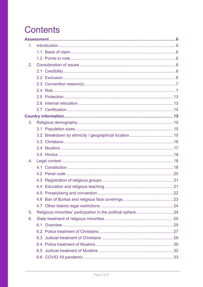# <span id="page-3-0"></span>**Contents**

| 1 <sub>1</sub> |     |  |  |
|----------------|-----|--|--|
|                |     |  |  |
|                |     |  |  |
| 2.             |     |  |  |
|                |     |  |  |
|                |     |  |  |
|                |     |  |  |
|                |     |  |  |
|                |     |  |  |
|                | 2.6 |  |  |
|                |     |  |  |
|                |     |  |  |
| 3 <sub>1</sub> |     |  |  |
|                |     |  |  |
|                |     |  |  |
|                |     |  |  |
|                |     |  |  |
|                |     |  |  |
| 4.             |     |  |  |
|                |     |  |  |
|                |     |  |  |
|                |     |  |  |
|                |     |  |  |
|                |     |  |  |
|                |     |  |  |
|                |     |  |  |
| 5.             |     |  |  |
| 6.             |     |  |  |
|                |     |  |  |
|                |     |  |  |
|                | 6.3 |  |  |
|                |     |  |  |
|                |     |  |  |
|                |     |  |  |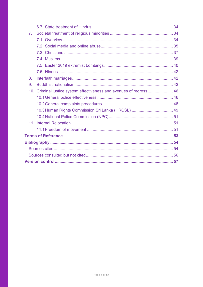| 7 <sub>1</sub>                                                      |  |  |
|---------------------------------------------------------------------|--|--|
|                                                                     |  |  |
|                                                                     |  |  |
|                                                                     |  |  |
| 74                                                                  |  |  |
|                                                                     |  |  |
|                                                                     |  |  |
| 8.                                                                  |  |  |
| 9.                                                                  |  |  |
| 10. Criminal justice system effectiveness and avenues of redress 46 |  |  |
|                                                                     |  |  |
|                                                                     |  |  |
| 10.3 Human Rights Commission Sri Lanka (HRCSL)  49                  |  |  |
|                                                                     |  |  |
|                                                                     |  |  |
|                                                                     |  |  |
|                                                                     |  |  |
|                                                                     |  |  |
|                                                                     |  |  |
|                                                                     |  |  |
|                                                                     |  |  |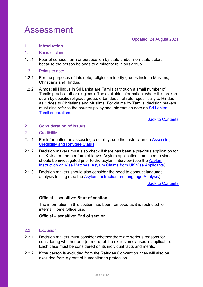## <span id="page-5-1"></span>Assessment

Updated: 24 August 2021

## <span id="page-5-0"></span>**1. Introduction**

- <span id="page-5-2"></span>1.1 Basis of claim
- 1.1.1 Fear of serious harm or persecution by state and/or non-state actors because the person belongs to a minority religious group.
- <span id="page-5-3"></span>1.2 Points to note
- 1.2.1 For the purposes of this note, religious minority groups include Muslims, Christians and Hindus.
- 1.2.2 Almost all Hindus in Sri Lanka are Tamils (although a small number of Tamils practice other religions). The available information, where it is broken down by specific religious group, often does not refer specifically to Hindus as it does to Christians and Muslims. For claims by Tamils, decision makers must also refer to the country policy and information note on Sri Lanka: [Tamil separatism.](https://assets.publishing.service.gov.uk/government/uploads/system/uploads/attachment_data/file/994246/Sri_Lanka_-_Tamil_separatism_-_CPIN_-_June_2021_-_ext.pdf)

[Back to Contents](#page-3-0)

## <span id="page-5-4"></span>**2. Consideration of issues**

## <span id="page-5-5"></span>2.1 Credibility

- 2.1.1 For information on assessing credibility, see the instruction on Assessing [Credibility and Refugee Status.](https://www.gov.uk/government/publications/considering-asylum-claims-and-assessing-credibility-instruction)
- 2.1.2 Decision makers must also check if there has been a previous application for a UK visa or another form of leave. Asylum applications matched to visas should be investigated prior to the asylum interview (see the Asylum [Instruction on Visa Matches, Asylum Claims from UK Visa Applicants\)](https://www.gov.uk/government/publications/visa-matches-handling-asylum-claims-from-uk-visa-applicants-instruction).
- 2.1.3 Decision makers should also consider the need to conduct language analysis testing (see the [Asylum Instruction on Language Analysis\)](https://www.gov.uk/government/publications/language-analysis-instruction).

[Back to Contents](#page-3-0)

#### **Official – sensitive: Start of section**

The information in this section has been removed as it is restricted for internal Home Office use.

## **Official – sensitive: End of section**

#### <span id="page-5-6"></span>2.2 Exclusion

- 2.2.1 Decision makers must consider whether there are serious reasons for considering whether one (or more) of the exclusion clauses is applicable. Each case must be considered on its individual facts and merits.
- 2.2.2 If the person is excluded from the Refugee Convention, they will also be excluded from a grant of humanitarian protection.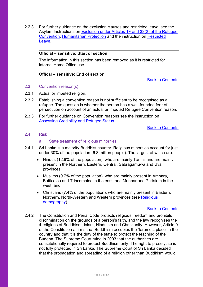2.2.3 For further guidance on the exclusion clauses and restricted leave, see the Asylum Instructions on **Exclusion under Articles 1F and 33(2) of the Refugee** [Convention,](https://www.gov.uk/government/publications/asylum-instruction-exclusion-article-1f-of-the-refugee-convention) [Humanitarian Protection](https://www.gov.uk/government/publications/humanitarian-protection-instruction) and the instruction on [Restricted](https://www.gov.uk/government/publications/restricted-leave-asylum-casework-instruction)  [Leave.](https://www.gov.uk/government/publications/restricted-leave-asylum-casework-instruction)

### **Official – sensitive: Start of section**

The information in this section has been removed as it is restricted for internal Home Office use.

#### **Offical – sensitive: End of section**

[Back to Contents](#page-3-0)

#### <span id="page-6-0"></span>2.3 Convention reason(s)

- 2.3.1 Actual or imputed religion.
- 2.3.2 Establishing a convention reason is not sufficient to be recognised as a refugee. The question is whether the person has a well-founded fear of persecution on account of an actual or imputed Refugee Convention reason.
- 2.3.3 For further guidance on Convention reasons see the instruction on [Assessing Credibility and Refugee Status.](https://www.gov.uk/government/publications/considering-asylum-claims-and-assessing-credibility-instruction)

[Back to Contents](#page-3-0)

#### <span id="page-6-1"></span>2.4 Risk

#### a. State treatment of religious minorities

- 2.4.1 Sri Lanka is a majority Buddhist country. Religious minorities account for just under 30% of the population (6.8 million people). The largest of which are:
	- Hindus (12.6% of the population), who are mainly Tamils and are mainly present in the Northern, Eastern, Central, Sabragamuwa and Uva provinces;
	- Muslims (9.7% of the population), who are mainly present in Ampara, Batticaloa and Trincomalee in the east, and Mannar and Puttalam in the west; and
	- Christians (7.4% of the population), who are mainly present in Eastern, Northern, North-Western and Western provinces (see [Religious](#page-24-2)  [demography\)](#page-24-2).

#### [Back to Contents](#page-3-0)

2.4.2 The Constitution and Penal Code protects religious freedom and prohibits discrimination on the grounds of a person's faith, and the law recognises the 4 religions of Buddhism, Islam, Hinduism and Christianity. However, Article 9 of the Constitution affirms that Buddhism occupies the 'foremost place' in the country and that it is the duty of the state to protect the teaching of the Buddha. The Supreme Court ruled in 2003 that the authorities are constitutionally required to protect Buddhism only. The right to proselytise is not fully protected in Sri Lanka. The Supreme Court of Sri Lanka decided that the propagation and spreading of a religion other than Buddhism would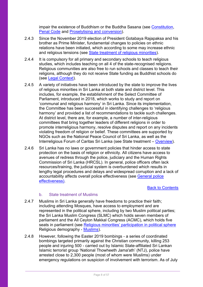impair the existence of Buddhism or the Buddha Sasana (see [Constitution,](#page-17-2) [Penal Code](#page-18-0) and Proselytising [and conversion\)](#page-21-1).

- 2.4.3 Since the November 2019 election of President Gotabaya Rajapaksa and his brother as Prime Minister, fundamental changes to policies on ethnic relations have been initiated, which according to some may increase ethnic and religious tensions (see [State treatment of religious minorities\)](#page-24-0).
- 2.4.4 It is compulsory for all primary and secondary schools to teach religious studies, which includes teaching on all 4 of the state-recognised religions. Religious communities are also free to run schools and classes to teach their religions, although they do not receive State funding as Buddhist schools do (see [Legal Context\)](#page-17-1).
- 2.4.5 A variety of initiatives have been introduced by the state to improve the lives of religious minorities in Sri Lanka at both state and district level. This includes, for example, the establishment of the Select Committee of Parliament, introduced in 2018, which works to study and report on 'communal and religious harmony' in Sri Lanka. Since its implementation, the Committee has been successful in identifying challenges to 'religious harmony' and provided a list of recommendations to tackle such challenges. At district level, there are, for example, a number of inter-religious committees that bring together leaders of different religions in order to promote interreligious harmony, resolve disputes and report on any incidents violating freedom of religion or belief. These committees are supported by NGOs such as the National Peace Council of Sri Lanka, as well as the Interreligious Forum of Caritas Sri Lanka (see State treatment – [Overview\)](#page-24-1).
- 2.4.6 Sri Lanka has no laws or government policies that hinder access to state protection on the basis of religion or ethnicity. All citizens have access to avenues of redress through the police, judiciary and the Human Rights Commission of Sri Lanka (HRCSL). In general, police officers often lack resources/training, the judicial system is overburdened which results in lengthy legal procedures and delays and widespread corruption and a lack of accountability affects overall police effectiveness (see [General police](#page-45-1)  [effectiveness\).](#page-45-1)

[Back to Contents](#page-3-0)

## b. State treatment of Muslims

- 2.4.7 Muslims in Sri Lanka generally have freedoms to practice their faith; including attending Mosques, have access to employment and are represented in the political sphere, including by two Muslim political parties; the Sri Lanka Muslim Congress (SLMC) which holds seven members of parliament and the All Ceylon Makkal Congress (ACMC), which holds five seats in parliament (see [Religious minorities' participation in](#page-23-1) political sphere Religious demography - [Muslims\)](#page-16-0).
- 2.4.8 However, following the Easter 2019 bombings a series of coordinated bombings targeted primarily against the Christian community, killing 253 people and injuring 500 - carried out by Islamic State-affiliated Sri Lankan Islamic terrorist group 'National Thowheeth Jama'ath' (NTJ), police have arrested close to 2,300 people (most of whom were Muslims) under emergency regulations on suspicion of involvement with terrorism. As of July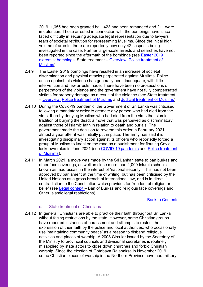2019, 1,655 had been granted bail, 423 had been remanded and 211 were in detention. Those arrested in connection with the bombings have since faced difficulty in securing adequate legal representation due to lawyers' fears of societal retribution for representing Muslims. Since the initial high volume of arrests, there are reportedly now only 42 suspects being investigated in the case. Further large-scale arrests and searches have not been reported since the aftermath of the bombings (see [Easter 2019](#page-39-0)  [extremist bombings,](#page-39-0) State treatment – [Overview,](#page-24-1) [Police treatment of](#page-29-0)  [Muslims\)](#page-29-0).

- 2.4.9 The Easter 2019 bombings have resulted in an increase of societal discrimination and physical attacks perpetrated against Muslims. Police action against this violence has generally been inadequate, with little intervention and few arrests made. There have been no prosecutions of perpetrators of the violence and the government have not fully compensated victims for property damage as a result of the violence (see State treatment – [Overview,](#page-24-1) [Police treatment of Muslims](#page-29-0) and [Judicial treatment of Muslims\)](#page-31-1).
- 2.4.10 During the Covid-19 pandemic, the Government of Sri Lanka was criticised following a mandatory order to cremate any person who had died from the virus, thereby denying Muslims who had died from the virus the Islamic tradition of burying the dead; a move that was perceived as discriminatory against those of Islamic faith in relation to death and burials. The government made the decision to reverse this order in February 2021, almost a year after it was initially put in place. The army has said it is investigating disciplinary action against its officers who reportedly forced a group of Muslims to kneel on the road as a punishment for flouting Covid lockdown rules in June 2021 (see [COVID-19 pandemic](#page-33-1) and [Police treatment](#page-29-0)  [of Muslims\)](#page-29-0).
- 2.4.11 In March 2021, a move was made by the Sri Lankan state to ban burkas and other face coverings, as well as close more than 1,000 Islamic schools known as madrassas, in the interest of 'national security'. This has not been approved by parliament at the time of writing, but has been criticised by the United Nations as a gross breach of international law, and is in direct contradiction to the Constitution which provides for freedom of religion or belief (see [Legal](#page-17-1) context – Ban of Burkas and religious face coverings and Other Islamic legal restrictions).

#### [Back to Contents](#page-3-0)

## c. State treatment of Christians

2.4.12 In general, Christians are able to practice their faith throughout Sri Lanka without facing restrictions by the state. However, some Christian groups have reported instances of harassment and attempts to restrict the expression of their faith by the police and local authorities, who occasionally use 'maintaining community peace' as a reason to disband religious activities and places of worship. A 2008 Circular issued by the Secretary of the Ministry to provincial councils and divisional secretaries is routinely misapplied by state actors to close down churches and forbid Christian worship. Since the election of Gotabaya Rajapaksa in November 2019, some Christian places of worship in the Northern Province have had military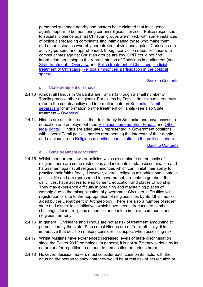personnel stationed nearby and pastors have claimed that intelligence agents appear to be monitoring certain religious services. Police responses to societal violence against Christian groups are mixed, with some instances of police disregarding complaints and intimidating those who make them, and other instances whereby perpetrators of violence against Christians are actively pursued and apprehended; though conviction rates for those who commit crimes against Christian groups are low. CPIT could not find information pertaining to the representation of Christians in parliament (see [State treatment](#page-24-1) – Overview and [Police treatment of Christians,](#page-26-0) [Judicial](#page-28-0)  [treatment of Christians,](#page-28-0) Religious minorities' [participation in the political](#page-23-1)  [sphere.](#page-23-1)

[Back to Contents](#page-3-0)

## d. State treatment of Hindus

- 2.4.13 Almost all Hindus in Sri Lanka are Tamils (although a small number of Tamils practice other religions). For claims by Tamils, decision makers must refer to the country policy and information note on [Sri Lanka: Tamil](https://assets.publishing.service.gov.uk/government/uploads/system/uploads/attachment_data/file/994246/Sri_Lanka_-_Tamil_separatism_-_CPIN_-_June_2021_-_ext.pdf)  [separatism](https://assets.publishing.service.gov.uk/government/uploads/system/uploads/attachment_data/file/994246/Sri_Lanka_-_Tamil_separatism_-_CPIN_-_June_2021_-_ext.pdf) for information on the treatment of Tamils (see also State treatment – [Overview\)](#page-24-1)
- 2.4.14 Hindus are able to practice their faith freely in Sri Lanka and have access to education and employment (see [Religious demography -](#page-17-0) Hindus and [Other](#page-20-1)  [legal rights\)](#page-20-1). Hindus are adequately represented in Government positions, with several Tamil political parties representing the interests of their ethnic and religious group [Religious minorities' participation in the political sphere](#page-23-1)).

**[Back to Contents](#page-3-0)** 

## e. State treatment conclusion

- 2.4.15 Whilst there are no laws or policies which discriminate on the basis of religion, there are some restrictions and incidents of state discrimination and harassment against all religious minorities which can inhibit their ability to practice their faiths freely. However, overall, religious minorities participate in political life and are represented in government, are able to go about their daily lives, have access to employment, education and places of worship. They may experience difficulty in obtaining and maintaining places of worship due to the misapplication of government Circulars, difficulties with registration or due to the appropriation of religious sites by Buddhist monks, aided by the Department of Archaeology. There are also a number of recent state and district-level initiatives which have been introduced to combat challenges facing religious minorities and look to improve communal and religious harmony.
- 2.4.16 In general, Christians and Hindus are not at risk of treatment amounting to persecution by the state. Since most Hindus are of Tamil ethnicity, it is imperative that decision makers consider this aspect when assessing risk.
- 2.4.17 Whilst Muslims have experienced increased levels of state discrimination since the Easter 2019 bombings, in general, it is not sufficiently serious by its nature and/or repetition to amount to persecution or serious harm.
- 2.4.18 However, decision makers must consider each case on its facts, with the onus on the person to show that they would be at real risk of persecution or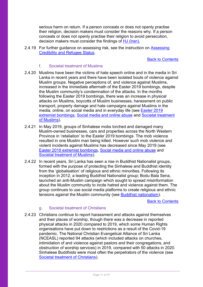serious harm on return. If a person conceals or does not openly practise their religion, decision makers must consider the reasons why. If a person conceals or does not openly practise their religion to avoid persecution, decision makers must consider the findings of [HJ \(Iran\).](https://tribunalsdecisions.service.gov.uk/utiac/37785)

2.4.19 For further guidance on assessing risk, see the instruction on Assessing [Credibility and Refugee Status.](https://www.gov.uk/government/publications/considering-asylum-claims-and-assessing-credibility-instruction)

[Back to Contents](#page-3-0)

#### f. Societal treatment of Muslims

- 2.4.20 Muslims have been the victims of hate speech online and in the media in Sri Lanka in recent years and there have been isolated bouts of violence against Muslim groups. Negative perceptions of, and violence against Muslims, increased in the immediate aftermath of the Easter 2019 bombings, despite the Muslim community's condemnation of the attacks. In the months following the Easter 2019 bombings, there was an increase in physical attacks on Muslims, boycotts of Muslim businesses, harassment on public transport, property damage and hate campaigns against Muslims in the media, online, on social media and in everyday life (see [Easter 2019](#page-45-2)  [extremist bombings,](#page-45-2) [Social media and online abuse](#page-34-1) and [Societal treatment](#page-37-0)  [of Muslims\)](#page-37-0).
- 2.4.21 In May 2019, groups of Sinhalese mobs torched and damaged many Muslim-owned businesses, cars and properties across the North Western Province in 'retaliation' to the Easter 2019 bombings. The mob violence resulted in one Muslim man being killed. However such mob violence and violent incidents against Muslims has decreased since May 2019 (see [Easter 2019 extremist bombings,](#page-45-2) [Social media and online abuse](#page-34-1) and [Societal treatment of Muslims\)](#page-37-0).
- 2.4.22 In recent years, Sri Lanka has seen a rise in Buddhist Nationalist groups, formed with the purpose of protecting the Sinhalese and Buddhist identity from the 'globalisation' of religious and ethnic minorities. Following its inception in 2012, a leading Buddhist Nationalist group; Bodu Bala Sena, launched an anti-Muslim campaign which sought to spread misinformation about the Muslim community to incite hatred and violence against them. The group continues to use social media platforms to create religious and ethnic tensions against the Muslim community (see [Buddhist nationalism\)](#page-42-0).

[Back to Contents](#page-3-0)

#### g. Societal treatment of Christians

2.4.23 Christians continue to report harassment and attacks against themselves and their places of worship, though there was a decrease in reported physical attacks in 2020 compared to 2019, which some Human Rights organisations have put down to restrictions as a result of the Covid-19 pandemic. The National Christian Evangelical Alliance of Sri Lanka (NCEASL) reported 94 attacks (which included attacks on churches, intimidation of and violence against pastors and their congregations, and obstruction of worship services) in 2019, compared with 50 attacks in 2020. Sinhalese Buddhists were most often the perpetrators of the violence (see Societal [treatment of Christians\)](#page-36-1).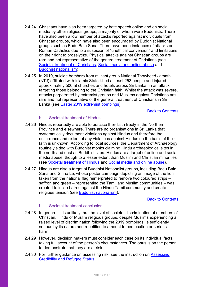- 2.4.24 Christians have also been targeted by hate speech online and on social media by other religious groups, a majority of whom were Buddhists. There have also been a low number of attacks reported against individuals from Christian groups, which have also been encouraged by Buddhist National groups such as Bodu Bala Sana. There have been instances of attacks on-Roman Catholics due to a suspicion of "unethical conversion" and limitations on their right to proselytize. Physical attacks against Christian groups are rare and not representative of the general treatment of Christians (see [Societal treatment of Christians,](#page-36-1) [Social media and online abuse](#page-34-1) and [Buddhist nationalism\)](#page-42-0)
- 2.4.25 In 2019, suicide bombers from militant group National Thowheed Jamath (NTJ) affiliated with Islamic State killed at least 253 people and injured approximately 500 at churches and hotels across Sri Lanka, in an attack targeting those belonging to the Christian faith. Whilst the attack was severe, attacks perpetrated by extremist groups and Muslims against Christians are rare and not representative of the general treatment of Christians in Sri Lanka (see [Easter 2019 extremist bombings\)](#page-39-1).

[Back to Contents](#page-3-0)

## h. Societal treatment of Hindus

- 2.4.26 Hindus reportedly are able to practice their faith freely in the Northern Province and elsewhere. There are no organisations in Sri Lanka that systematically document violations against Hindus and therefore the occurrence and extent of any violations against Hindus on the basis of their faith is unknown. According to local sources, the Department of Archaeology routinely sided with Buddhist monks claiming Hindu archaeological sites in the north and east as Buddhist sites. Hindus are a target of online and social media abuse, though to a lesser extent than Muslim and Christian minorities (see [Societal treatment of Hindus](#page-41-2) and [Social media and online abuse\)](#page-34-1).
- 2.4.27 Hindus are also a target of Buddhist Nationalist groups, including Bodu Bala Sana and Sinha Le, whose poster campaign depicting an image of the lion taken from the national flag reinterpreted to remove two coloured strips – saffron and green – representing the Tamil and Muslim communities – was created to incite hatred against the Hindu Tamil community and create religious tension (see [Buddhist nationalism\)](#page-42-0).

## [Back to Contents](#page-3-0)

## i. Societal treatment conclusion

- 2.4.28 In general, it is unlikely that the level of societal discrimination of members of Christian, Hindu or Muslim religious groups, despite Muslims experiencing a raised level of discrimination following the 2019 bombings, is sufficiently serious by its nature and repetition to amount to persecution or serious harm.
- 2.4.29 However, decision makers must consider each case on its individual facts, taking full account of the person's circumstances. The onus is on the person to demonstrate that they are at risk.
- 2.4.30 For further guidance on assessing risk, see the instruction on Assessing [Credibility and Refugee Status.](https://www.gov.uk/government/publications/considering-asylum-claims-and-assessing-credibility-instruction)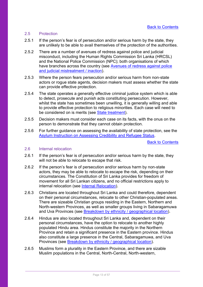## <span id="page-12-0"></span>2.5 Protection

- 2.5.1 If the person's fear is of persecution and/or serious harm by the state, they are unlikely to be able to avail themselves of the protection of the authorities.
- 2.5.2 There are a number of avenues of redress against police and judicial misconduct, including the Human Rights Commission Sri Lanka (HRCSL) and the National Police Commission (NPC); both organisations of which have branches across the country (see [Avenues of redress against police](#page-45-0)  [and judicial mistreatment / inaction\)](#page-45-0).
- 2.5.3 Where the person fears persecution and/or serious harm from non-state actors or rogue state agents, decision makers must assess whether the state can provide effective protection.
- 2.5.4 The state operates a generally effective criminal justice system which is able to detect, prosecute and punish acts constituting persecution. However, whilst the state has sometimes been unwilling, it is generally willing and able to provide effective protection to religious minorities. Each case will need to be considered on is merits (see [State treatment\)](#page-45-2).
- 2.5.5 Decision makers must consider each case on its facts, with the onus on the person to demonstrate that they cannot obtain protection.
- 2.5.6 For further guidance on assessing the availability of state protection, see the [Asylum Instruction on Assessing Credibility and Refugee Status.](https://www.gov.uk/government/publications/considering-asylum-claims-and-assessing-credibility-instruction)

[Back to Contents](#page-3-0)

## <span id="page-12-1"></span>2.6 Internal relocation

- 2.6.1 If the person's fear is of persecution and/or serious harm by the state, they will not be able to relocate to escape that risk.
- 2.6.2 If the person's fear is of persecution and/or serious harm by non-state actors, they may be able to relocate to escape the risk, depending on their circumstances. The Constitution of Sri Lanka provides for freedom of movement for all Sri Lankan citizens, and no official restrictions apply to internal relocation (see [Internal Relocation\)](#page-50-3).
- 2.6.3 Christians are located throughout Sri Lanka and could therefore, dependent on their personal circumstances, relocate to other Christian-populated areas. There are sizeable Christian groups residing in the Eastern, Northern and North-western Provinces, as well as smaller groups living in Sabaragamuwa and Uva Provinces (see [Breakdown by ethnicity / geographical location\)](#page-14-3).
- 2.6.4 Hindus are also located throughout Sri Lanka and, dependent on their personal circumstances, have the option to relocate to another highly populated Hindu area. Hindus constitute the majority in the Northern Province and retain a significant presence in the Eastern province. Hindus also constitute a large presence in the Central, Sabaragamuwa, and Uva Provinces (see [Breakdown by ethnicity / geographical location\)](#page-14-3).
- 2.6.5 Muslims form a plurality in the Eastern Province, and there are sizable Muslim populations in the Central, North-Central, North-western,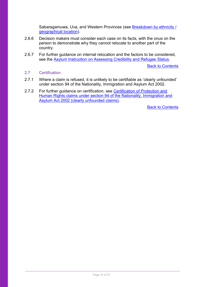Sabaragamuwa, Uva, and Western Provinces (see Breakdown by ethnicity / [geographical location\)](#page-14-3).

- 2.6.6 Decision makers must consider each case on its facts, with the onus on the person to demonstrate why they cannot relocate to another part of the country.
- 2.6.7 For further guidance on internal relocation and the factors to be considered, see the [Asylum Instruction on Assessing Credibility and Refugee Status.](https://www.gov.uk/government/publications/considering-asylum-claims-and-assessing-credibility-instruction)

[Back to Contents](#page-3-0)

## <span id="page-13-0"></span>2.7 Certification

- 2.7.1 Where a claim is refused, it is unlikely to be certifiable as 'clearly unfounded' under section 94 of the Nationality, Immigration and Asylum Act 2002.
- 2.7.2 For further guidance on certification, see Certification of Protection and [Human Rights claims under section 94 of the Nationality, Immigration and](https://www.gov.uk/government/publications/non-suspensive-appeals-certification-under-section-94-of-the-nia-act-2002-process)  [Asylum Act 2002 \(clearly unfounded claims\).](https://www.gov.uk/government/publications/non-suspensive-appeals-certification-under-section-94-of-the-nia-act-2002-process)

[Back to Contents](#page-3-0)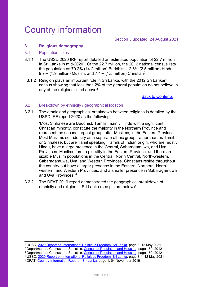## <span id="page-14-0"></span>Country information

Section 3 updated: 24 August 2021

## <span id="page-14-1"></span>**3. Religious demography**

#### <span id="page-14-2"></span>3.1 Population sizes

- 3.1.1 The USSD 2020 IRF report detailed an estimated population of 22.7 million in Sri Lanka in mid-2020<sup>1</sup>. Of the 22.7 million, the 2012 national census lists the population as 70.2% (14.2 million) Buddhist, 12.6% (2.5 million) Hindu,  $9.7\%$  (1.9 million) Muslim, and 7.4% (1.5 million) Christian $^2$ .
- 3.1.2 Religion plays an important role in Sri Lanka, with the 2012 Sri Lankan census showing that less than 2% of the general population do not believe in any of the religions listed above $3$ .

[Back to Contents](#page-3-0)

## <span id="page-14-3"></span>3.2 Breakdown by ethnicity / geographical location

3.2.1 The ethnic and geographical breakdown between religions is detailed by the USSD IRF report 2020 as the following:

'Most Sinhalese are Buddhist. Tamils, mainly Hindu with a significant Christian minority, constitute the majority in the Northern Province and represent the second largest group, after Muslims, in the Eastern Province. Most Muslims self-identify as a separate ethnic group, rather than as Tamil or Sinhalese, but are Tamil speaking. Tamils of Indian origin, who are mostly Hindu, have a large presence in the Central, Sabaragamuwa, and Uva Provinces. Muslims form a plurality in the Eastern Province, and there are sizable Muslim populations in the Central, North Central, North-western, Sabaragamuwa, Uva, and Western Provinces. Christians reside throughout the country but have a larger presence in the Eastern, Northern, Northwestern, and Western Provinces, and a smaller presence in Sabaragamuwa and Uva Provinces<sup>'4</sup>

3.2.2 The DFAT 2019 report demonstrated the geographical breakdown of ethnicity and religion in Sri Lanka (see picture below)<sup>5</sup>:

<sup>1</sup> USSD, [2020 Report on International Religious Freedom: Sri Lanka,](https://www.state.gov/reports/2020-report-on-international-religious-freedom/sri-lanka/) page 3, 12 May 2021

<sup>2</sup> Department of Census and Statistics, [Census of Population and Housing,](https://ukhomeoffice.sharepoint.com/sites/PROC975/SharedDocuments/Countries/Sri%20Lanka/CPINs/Microsoft%20Word%20-%20FinalReportE.doc%20(statistics.gov.lk)) page 160, 2012

<sup>&</sup>lt;sup>3</sup> Department of Census and Statistics, [Census of Population and Housing,](https://ukhomeoffice.sharepoint.com/sites/PROC975/SharedDocuments/Countries/Sri%20Lanka/CPINs/Microsoft%20Word%20-%20FinalReportE.doc%20(statistics.gov.lk)) page 160, 2012

<sup>4</sup> USSD, [2020 Report on International Religious Freedom: Sri Lanka,](https://www.state.gov/reports/2020-report-on-international-religious-freedom/sri-lanka/) page 3-4, 12 May 2021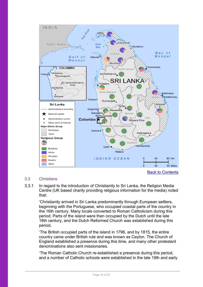

## <span id="page-15-0"></span>3.3 Christians

3.3.1 In regard to the introduction of Christianity to Sri Lanka, the Religion Media Centre (UK based charity providing religious information for the media) noted that:

'Christianity arrived in Sri Lanka predominantly through European settlers, beginning with the Portuguese, who occupied coastal parts of the country in the 16th century. Many locals converted to Roman Catholicism during this period. Parts of the island were then occupied by the Dutch until the late 18th century, and the Dutch Reformed Church was established during this period.

'The British occupied parts of the island in 1796, and by 1815, the entire country came under British rule and was known as Ceylon. The Church of England established a presence during this time, and many other protestant denominations also sent missionaries.

'The Roman Catholic Church re-established a presence during this period, and a number of Catholic schools were established in the late 19th and early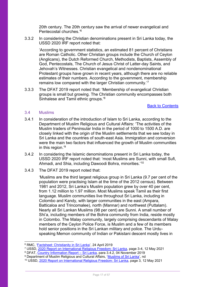20th century. The 20th century saw the arrival of newer evangelical and Pentecostal churches.'<sup>6</sup>

3.3.2 In considering the Christian denominations present in Sri Lanka today, the USSD 2020 IRF report noted that:

'According to government statistics, an estimated 81 percent of Christians are Roman Catholic. Other Christian groups include the Church of Ceylon (Anglicans), the Dutch Reformed Church, Methodists, Baptists, Assembly of God, Pentecostals, The Church of Jesus Christ of Latter-day Saints, and Jehovah's Witnesses. Christian evangelical and nondenominational Protestant groups have grown in recent years, although there are no reliable estimates of their numbers. According to the government, membership remains low compared with the larger Christian community.'<sup>7</sup>

3.3.3 The DFAT 2019 report noted that: 'Membership of evangelical Christian groups is small but growing. The Christian community encompasses both Sinhalese and Tamil ethnic groups.<sup>'8</sup>

## [Back to Contents](#page-3-0)

#### <span id="page-16-0"></span>3.4 Muslims

- 3.4.1 In consideration of the introduction of Islam to Sri Lanka, according to the Department of Muslim Religious and Cultural Affairs: 'The activities of the Muslim traders of Peninsular India in the period of 1000 to 1500 A.D. are closely linked with the origin of the Muslim settlements that we see today in Sri Lanka and the countries of south-east Asia. Immigration and conversion were the main two factors that influenced the growth of Muslim communities in this region.' 9
- 3.4.2 In considering the Islamic denominations present in Sri Lanka today, the USSD 2020 IRF report noted that: 'most Muslims are Sunni, with small Sufi, Ahmadi, and Shia, including Dawoodi Bohra, minorities.'<sup>10</sup>
- 3.4.3 The DFAT 2019 report noted that:

'Muslims are the third largest religious group in Sri Lanka (9.7 per cent of the population were practising Islam at the time of the 2012 census). Between 1981 and 2012, Sri Lanka's Muslim population grew by over 40 per cent, from 1.12 million to 1.97 million. Most Muslims speak Tamil as their first language. Muslim communities live throughout Sri Lanka, including in Colombo and Kandy, with larger communities in the east (Ampara, Batticaloa and Trincomalee), north (Mannar) and northwest (Puttalam). Nearly all Sri Lankan Muslims (98 per cent) are Sunni. A small number of Shi'a, including members of the Bohra community from India, reside mostly in Colombo. The Malay community, largely comprising descendants of Malay members of the Ceylon Police Force, is Muslim and a few of its members hold senior positions in the Sri Lankan military and police. The Urduspeaking Memon community of Indian or Pakistani descent mostly lives in

- <sup>7</sup> USSD, [2020 Report on International Religious Freedom: Sri Lanka,](https://www.state.gov/reports/2020-report-on-international-religious-freedom/sri-lanka/) page 3-4, 12 May 2021
- 8 DFAT, [Country Information Report](https://www.dfat.gov.au/sites/default/files/country-information-report-sri-lanka.pdf)  Sri Lanka, para 3.4.2, 04 November 2019
- 9 Department of Muslim Religious and Cultural Affairs, '[Muslims of Sri Lanka](https://muslimaffairs.gov.lk/muslims-of-sri-lanka/)', nd

<sup>6</sup> RMC, '[Factsheet: Christianity in Sri Lanka](https://religionmediacentre.org.uk/factsheets/christianity-in-sri-lanka/)', 24 April 2019

<sup>10</sup> USSD, [2020 Report on International Religious Freedom: Sri Lanka,](https://www.state.gov/reports/2020-report-on-international-religious-freedom/sri-lanka/) page 3, 12 May 2021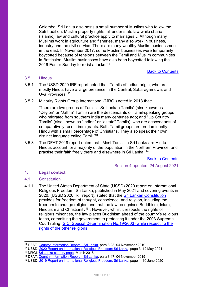Colombo. Sri Lanka also hosts a small number of Muslims who follow the Sufi tradition. Muslim property rights fall under state law while sharia (Islamic) law and cultural practice apply to marriages… Although many Muslims work in agriculture and fisheries, many also work in business, industry and the civil service. There are many wealthy Muslim businessmen in the east. In November 2017, some Muslim businesses were temporarily boycotted because of tensions between the Tamil and Muslim communities in Batticaloa. Muslim businesses have also been boycotted following the 2019 Easter Sunday terrorist attacks.'<sup>11</sup>

[Back to Contents](#page-3-0)

#### <span id="page-17-0"></span>3.5 Hindus

- 3.5.1 The USSD 2020 IRF report noted that 'Tamils of Indian origin, who are mostly Hindu, have a large presence in the Central, Sabaragamuwa, and Uva Provinces.'<sup>12</sup>
- 3.5.2 Minority Rights Group International (MRGI) noted in 2018 that:

'There are two groups of Tamils: "Sri Lankan Tamils" (also known as "Ceylon" or "Jaffna" Tamils) are the descendants of Tamil-speaking groups who migrated from southern India many centuries ago; and "Up Country Tamils" (also known as "Indian" or "estate" Tamils), who are descendants of comparatively recent immigrants. Both Tamil groups are predominantly Hindu with a small percentage of Christians. They also speak their own distinct language called Tamil.'<sup>13</sup>

3.5.3 The DFAT 2019 report noted that: 'Most Tamils in Sri Lanka are Hindu. Hindus account for a majority of the population in the Northern Province, and practise their faith freely there and elsewhere in Sri Lanka.'<sup>14</sup>

[Back to Contents](#page-3-0)

Section 4 updated: 24 August 2021

## <span id="page-17-1"></span>**4. Legal context**

#### <span id="page-17-2"></span>4.1 Constitution

4.1.1 The United States Department of State (USSD) 2020 report on International Religious Freedom: Sri Lanka, published in May 2021 and covering events in 2020, (USSD 2020 IRF report), stated that the [Sri Lankan Constitution](https://www.wipo.int/edocs/lexdocs/laws/en/lk/lk007en.pdf) provides for freedom of thought, conscience, and religion, including the freedom to change religion and that the law recognises Buddhism, Islam, Hinduism and Christianity<sup>15</sup>.. However, whilst it respects the rights of religious minorities, the law places Buddhism ahead of the country's religious faiths, committing the government to protecting it under the 2003 Supreme Court ruling [\(S.C. Special Determination No.19/2003\)](http://www.refworld.org/pdfid/4be3e7042.pdf) while respecting the rights of the other religions

<sup>&</sup>lt;sup>11</sup> DFAT, [Country Information Report](https://www.dfat.gov.au/sites/default/files/country-information-report-sri-lanka.pdf) - Sri Lanka, para 3.28, 04 November 2019

<sup>&</sup>lt;sup>12</sup> USSD, [2020 Report on International Religious Freedom: Sri Lanka,](https://www.state.gov/reports/2020-report-on-international-religious-freedom/sri-lanka/) page 3, 12 May 2021

<sup>&</sup>lt;sup>13</sup> MRGI, **Sri Lanka country page**, March 2018

<sup>&</sup>lt;sup>14</sup> DFAT, [Country Information Report](https://www.dfat.gov.au/sites/default/files/country-information-report-sri-lanka.pdf) – Sri Lanka, para 3.47, 04 November 2019

<sup>15</sup> USSD, [2019 Report on International Religious Freedom: Sri Lanka,](https://www.state.gov/reports/2019-report-on-international-religious-freedom/sri-lanka/) page 1, 10 June 2020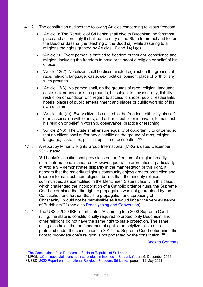- 4.1.2 The constitution outlines the following Articles concerning religious freedom:
	- 'Article 9: The Republic of Sri Lanka shall give to Buddhism the foremost place and accordingly it shall be the duty of the State to protect and foster the Buddha Sasana [the teaching of the Buddha], while assuring to all religions the rights granted by Articles 10 and 14(1)(e).
	- 'Article 10: Every person is entitled to freedom of thought, conscience and religion, including the freedom to have or to adopt a religion or belief of his choice
	- 'Article 12(2): No citizen shall be discriminated against on the grounds of race, religion, language, caste, sex, political opinion, place of birth or any such grounds.
	- 'Article 12(3): No person shall, on the grounds of race, religion, language, caste, sex or any one such grounds, be subject to any disability, liability, restriction or condition with regard to access to shops, public restaurants, hotels, places of public entertainment and places of public worship of his own religion.
	- 'Article 14(1)(e): Every citizen is entitled to the freedom, either by himself or in association with others, and either in public or in private, to manifest his religion or belief in worship, observance, practice or teaching.
	- 'Article 27(6): The State shall ensure equality of opportunity to citizens, so that no citizen shall suffer any disability on the ground of race, religion, language, caste, sex, political opinion or occupation.' 16
- 4.1.3 A report by Minority Rights Group International (MRGI), dated December 2016 stated:

'Sri Lanka's constitutional provisions on the freedom of religion broadly mirror international standards. However, judicial interpretation – particularly of Article 9 – demonstrates disparity in the manifestation of this right. It appears that the majority religious community enjoys greater protection and freedom to manifest their religious beliefs than the minority religious communities, as exemplified in the Menzingen Sisters case… In this case, which challenged the incorporation of a Catholic order of nuns, the Supreme Court determined that the right to propagation was not guaranteed by the Constitution and further, that "the propagation and spreading of Christianity…would not be permissible as it would impair the very existence of Buddhism"'<sup>17</sup> (see also <u>Proselytising and Conversion</u>).

4.1.4 The USSD 2020 IRF report stated 'According to a 2003 Supreme Court ruling, the state is constitutionally required to protect only Buddhism, and other religions do not have the same right to state protection. The same ruling also holds that no fundamental right to proselytize exists or is protected under the constitution. In 2017, the Supreme Court determined the right to propagate one's religion is not protected by the constitution.'<sup>18</sup>

[Back to Contents](#page-3-0)

<sup>17</sup> MRGI, […Continued violations against religious minorities in Sri Lanka'](http://minorityrights.org/wp-content/uploads/2016/12/MRG_Rep_SriLan_Dec16.pdf), para 5, December 2016,

<span id="page-18-0"></span><sup>16</sup> [The Constitution of the Democratic Socialist Republic of Sri Lanka](https://www.wipo.int/edocs/lexdocs/laws/en/lk/lk007en.pdf)

<sup>18</sup> USSD, [2020 Report on International Religious Freedom: Sri Lanka,](https://www.state.gov/reports/2020-report-on-international-religious-freedom/sri-lanka/) page 4, 12 May 2021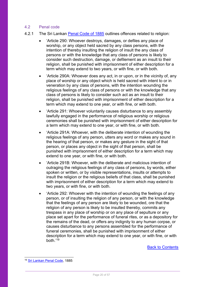## <span id="page-19-0"></span>4.2 Penal code

- 4.2.1 The Sri Lankan [Penal Code of 1885](http://www.refworld.org/docid/4c03e2af2.html) outlines offences related to religion:
	- 'Article 290: Whoever destroys, damages, or defiles any place of worship, or any object held sacred by any class persons, with the intention of thereby insulting the religion of insult the any class of persons or with the knowledge that any class of persons is likely to consider such destruction, damage, or defilement as an insult to their religion, shall be punished with imprisonment of either description for a term which may extend to two years, or with fine, or with both.
	- 'Article 290A: Whoever does any act, in or upon, or in the vicinity of, any place of worship or any object which is held sacred with intent to or in veneration by any class of persons, with the intention wounding the religious feelings of any class of persons or with the knowledge that any class of persons is likely to consider such act as an insult to their religion, shall be punished with imprisonment of either description for a term which may extend to one year, or with fine, or with both.
	- 'Article 291: Whoever voluntarily causes disturbance to any assembly lawfully engaged in the performance of religious worship or religious ceremonies shall be punished with imprisonment of either description for a term which may extend to one year, or with fine, or with both.
	- 'Article 291A: Whoever, with the deliberate intention of wounding the religious feelings of any person, utters any word or makes any sound in the hearing of that person, or makes any gesture in the sight of that person, or places any object in the sight of that person, shall be punished with imprisonment of either description for a term which may extend to one year, or with fine, or with both.
	- 'Article 291B: Whoever, with the deliberate and malicious intention of outraging the religious feelings of any class of persons, by words, either spoken or written, or by visible representations, insults or attempts to insult the religion or the religious beliefs of that class, shall be punished with imprisonment of either description for a term which may extend to two years, or with fine, or with both.
	- 'Article 292: Whoever with the intention of wounding the feelings of any person, or of insulting the religion of any person, or with the knowledge that the feelings of any person are likely to be wounded, ore that the religion of any person is likely to be insulted thereby, commits any trespass in any place of worship or on any place of sepulture or any place set apart for the performance of funeral rites, or as a depository for the remains of the dead, or offers any indignity to any human corpse, or causes disturbance to any persons assembled for the performance of funeral ceremonies, shall be punished with imprisonment of either description for a term which may extend to one year, or with fine, or with both.' 19

[Back to Contents](#page-3-0)

<sup>19</sup> [Sri Lankan Penal Code,](https://www.refworld.org/docid/4c03e2af2.html) 1885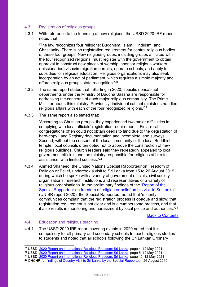## <span id="page-20-0"></span>4.3 Registration of religious groups

4.3.1 With reference to the founding of new religions, the USSD 2020 IRF report noted that:

'The law recognizes four religions: Buddhism, Islam, Hinduism, and Christianity. There is no registration requirement for central religious bodies of these four groups. New religious groups, including groups affiliated with the four recognized religions, must register with the government to obtain approval to construct new places of worship, sponsor religious workers (missionaries) visas/immigration permits, operate schools, and apply for subsidies for religious education. Religious organizations may also seek incorporation by an act of parliament, which requires a simple majority and affords religious groups state recognition.' 20

- 4.3.2 The same report stated that: 'Starting in 2020, specific noncabinet departments under the Ministry of Buddha Sasana are responsible for addressing the concerns of each major religious community. The Prime Minister heads this ministry. Previously, individual cabinet ministries handled religious affairs with each of the four recognized religions.'<sup>21</sup>
- 4.3.3 The same report also stated that:

'According to Christian groups, they experienced two major difficulties in complying with local officials' registration requirements. First, rural congregations often could not obtain deeds to land due to the degradation of hard-copy Land Registry documentation and incomplete land surveys. Second, without the consent of the local community or the local Buddhist temple, local councils often opted not to approve the construction of new religious buildings. Church leaders said they repeatedly appealed to local government officials and the ministry responsible for religious affairs for assistance, with limited success.' 22

4.3.4 Ahmed Shaheed, the United Nations Special Rapporteur on Freedom of Religion or Belief, undertook a visit to Sri Lanka from 15 to 26 August 2019, during which he spoke with a variety of government officials, civil society organisations, research institutions and representatives of a variety of religious organisations. In the preliminary findings of the '[Report of the](https://undocs.org/A/HRC/43/48/Add.2)  [Special Rapporteur on freedom of religion or belief](https://undocs.org/A/HRC/43/48/Add.2) on his visit to Sri Lanka' (UN SR report 2020), the Special Rapporteur noted that 'minority communities complain that the registration process is opaque and slow; that registration requirement is not clear and is a cumbersome process, and that it also results in monitoring and harassment by local police and authorities.'<sup>23</sup>

[Back to Contents](#page-3-0)

#### <span id="page-20-1"></span>4.4 Education and religious teaching

4.4.1 The USSD 2020 IRF report covering events in 2020 noted that it is compulsory for all primary and secondary schools to teach religious studies to students and noted that all schools following the Sri Lankan Ordinary

<sup>22</sup> USSD, [2020 Report on International Religious Freedom: Sri Lanka,](https://www.state.gov/reports/2020-report-on-international-religious-freedom/sri-lanka/) page 10, 12 May 2021

<sup>20</sup> USSD, [2020 Report on International Religious Freedom: Sri Lanka,](https://www.state.gov/reports/2020-report-on-international-religious-freedom/sri-lanka/) page 4, 12 May 2021

<sup>21</sup> USSD, [2020 Report on International Religious Freedom: Sri Lanka,](https://www.state.gov/reports/2020-report-on-international-religious-freedom/sri-lanka/) page 5, 12 May 2021

<sup>&</sup>lt;sup>23</sup> OHCHR, '...findings of Country Visit to Sri Lanka by the Special Rapporteur' 26 August 2019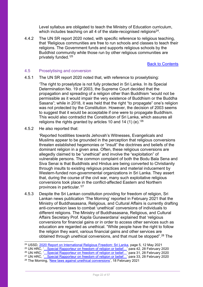Level syllabus are obligated to teach the Ministry of Education curriculum, which includes teaching on all 4 of the state-recognised religions $^{24}$ .

4.4.2 The UN SR report 2020 noted, with specific reference to religious teaching, that 'Religious communities are free to run schools and classes to teach their religions. The Government funds and supports religious schools by the Buddhist community while those run by other religious communities are privately funded.'<sup>25</sup>

[Back to Contents](#page-3-0)

## <span id="page-21-1"></span><span id="page-21-0"></span>4.5 Proselytising and conversion

#### 4.5.1 The UN SR report 2020 noted that, with reference to proselytising:

'The right to proselytize is not fully protected in Sri Lanka. In its Special Determination No. 19 of 2003, the Supreme Court decided that the propagation and spreading of a religion other than Buddhism "would not be permissible as it would impair the very existence of Buddhism or the Buddha Sasana"; while in 2018, it was held that the right "to propagate" one's religion was not protected by the Constitution. However, the decision of 2003 seems to suggest that it would be acceptable if one were to propagate Buddhism. This would also contradict the Constitution of Sri Lanka, which assures all religions the rights granted by articles 10 and 14 (1) (e). $^{26}$ 

4.5.2 He also reported that:

'Reported hostilities towards Jehovah's Witnesses, Evangelicals and Muslims appear to be grounded in the perception that religious conversions threaten established hegemonies or "insult" the doctrines and beliefs of the dominant religion in a given area. Often, these religious conversions are allegedly claimed to be "unethical" and involve the "exploitation" of vulnerable persons. The common complaint of both the Bodu Bala Sena and Siva Senai is that Buddhists and Hindus are being converted to Christianity through insults to existing religious practices and material inducement by Western-funded non-governmental organizations in Sri Lanka. They assert that, during the course of the civil war, many such exploitative religious conversions took place in the conflict-affected Eastern and Northern provinces in particular.' 27

4.5.3 Despite the Sri Lankan constitution providing for freedom of religion, Sri Lankan news publication 'The Morning' reported in February 2021 that the Ministry of Buddhasasana, Religious, and Cultural Affairs is currently drafting anti-conversion laws to combat 'unethical' conversions of individuals to different religions. The Ministry of Buddhasasana, Religious, and Cultural Affairs Secretary Prof. Kapila Gunawardana' explained that 'religious conversions for financial gains or in order to access other services such as education are regarded as unethical. "While people have the right to follow the religion they want, various financial gains and other services are obtained through unethical conversions, and that must be stopped".<sup>28</sup> The

- <sup>26</sup> UN HRC, '<u>…Special Rapporteur on freedom of religion or belief…'</u> para 31, 28 February 2020
- <sup>27</sup> UN HRC, '...Special Rapporteur on freedom of religion or belief...' para 33, 28 February 2020

<sup>24</sup> USSD, [2020 Report on International Religious Freedom: Sri Lanka,](https://www.state.gov/reports/2020-report-on-international-religious-freedom/sri-lanka/) page 5, 12 May 2021

<sup>&</sup>lt;sup>25</sup> UN HRC, '<u>…Special Rapporteur on freedom of religion or belief…'</u> para 42, 28 February 2020

<sup>28</sup> The Morning, '[New laws against unethical conversions](https://www.themorning.lk/new-laws-against-unethical-conversions/)', 18 February 2021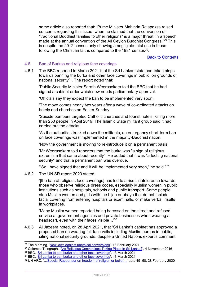same article also reported that: 'Prime Minister Mahinda Rajapaksa raised concerns regarding this issue, when he claimed that the conversion of "traditional Buddhist families to other religions" is a major threat, in a speech made at the annual convention of the All Ceylon Buddhist Congress.'<sup>29</sup> This is despite the 2012 census only showing a negligible total rise in those following the Christian faiths compared to the 1981 census $^{\rm 30}$ .

[Back to Contents](#page-3-0)

#### <span id="page-22-0"></span>4.6 Ban of Burkas and religious face coverings

4.6.1 The BBC reported in March 2021 that the Sri Lankan state had taken steps towards banning the burka and other face coverings in public, on grounds of national security<sup>31</sup>. The report noted that:

'Public Security Minister Sarath Weerasekara told the BBC that he had signed a cabinet order which now needs parliamentary approval.

'Officials say they expect the ban to be implemented very soon.

'The move comes nearly two years after a wave of co-ordinated attacks on hotels and churches on Easter Sunday.

'Suicide bombers targeted Catholic churches and tourist hotels, killing more than 250 people in April 2019. The Islamic State militant group said it had carried out the attacks.

'As the authorities tracked down the militants, an emergency short-term ban on face coverings was implemented in the majority-Buddhist nation.

'Now the government is moving to re-introduce it on a permanent basis.

'Mr Weerasekara told reporters that the burka was "a sign of religious extremism that came about recently". He added that it was "affecting national security" and that a permanent ban was overdue.

'"So I have signed that and it will be implemented very soon," he said.'<sup>32</sup>

4.6.2 The UN SR report 2020 stated:

'[the ban of religious face coverings] has led to a rise in intolerance towards those who observe religious dress codes, especially Muslim women in public institutions such as hospitals, schools and public transport. Some people stop Muslim women and girls with the hijab or abaya that do not include facial covering from entering hospitals or exam halls, or make verbal insults in workplaces.

'Many Muslim women reported being harassed on the street and refused service at government agencies and private businesses when wearing a headscarf, even with their faces visible...<sup>'33</sup>

4.6.3 Al Jazeera noted, on 28 April 2021, that 'Sri Lanka's cabinet has approved a proposed ban on wearing full-face veils including Muslim burqas in public, citing national security grounds, despite a United Nations expert's comment

<sup>&</sup>lt;sup>29</sup> The Morning, '[New laws against unethical conversions](https://www.themorning.lk/new-laws-against-unethical-conversions/)', 18 February 2021

<sup>30</sup> Colombo Telegraph, '[Are Religious Conversions Taking Place In Sri Lanka?](https://www.colombotelegraph.com/index.php/are-religious-conversions-taking-place-in-sri-lanka/)', 4 November 2016

<sup>&</sup>lt;sup>31</sup> BBC, '[Sri Lanka to ban burka and other face coverings](https://www.bbc.co.uk/news/world-asia-56386426)', 13 March 2021

<sup>32</sup> BBC, '[Sri Lanka to ban burka and other face coverings](https://www.bbc.co.uk/news/world-asia-56386426)', 13 March 2021

<sup>33</sup> UN HRC, ['…Special Rapporteur on freedom of religion or belief…'](https://undocs.org/A/HRC/43/48/Add.2) para 49- 50, 28 February 2020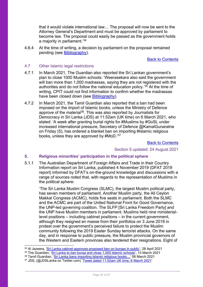that it would violate international law… The proposal will now be sent to the Attorney General's Department and must be approved by parliament to become law. The proposal could easily be passed as the government holds a majority in parliament.'<sup>34</sup>

4.6.4 At the time of writing, a decision by parliament on the proposal remained pending (see [Bibliography\)](#page-53-0).

[Back to Contents](#page-3-0)

#### <span id="page-23-0"></span>4.7 Other Islamic legal restrictions

- 4.7.1 In March 2021, The Guardian also reported the Sri Lankan government's plan to close 1000 Muslim schools: 'Weerasekara also said the government will ban more than 1,000 madrassas, saying they are not registered with the authorities and do not follow the national education policy.<sup>35</sup> At the time of writing, CPIT could not find information to confirm whether the madrassas have been closed down (see [Bibliography\)](#page-53-0).
- 4.7.2 In March 2021, the Tamil Guardian also reported that a ban had been imposed on the import of Islamic books, unless the Ministry of Defence approve of the material<sup>36</sup>. This was also reported by Journalists for Democracy in Sri Lanka (JDS) at 11:52am (UK time) on 6 March 2021, who stated: 'A week after granting burial rights for #Muslims by #GoSL under increased international pressure, Secretary of Defence @KamalGunaratne on Friday (5), has ordered a blanket ban on importing #Islamic religious books, unless they are approved by #MoD.'<sup>37</sup>

#### [Back to Contents](#page-3-0)

#### Section 5 updated: 24 August 2021

## <span id="page-23-1"></span>**5. Religious minorities' participation in the political sphere**

5.1.1 The Australian Department of Foreign Affairs and Trade in their Country Information report on Sri Lanka, published 4 November 2019 (DFAT 2019 report) informed by DFAT's on-the-ground knowledge and discussions with a range of sources noted that, with regards to the representation of Muslims in the political sphere:

'The Sri Lanka Muslim Congress (SLMC), the largest Muslim political party, has seven members of parliament. Another Muslim party, the All Ceylon Makkal Congress (ACMC), holds five seats in parliament. Both the SLMC and the ACMC are part of the United National Front for Good Governance, the UNP-led governing coalition. The SLFP [Sri Lanka Freedom Party] and the UNP have Muslim members in parliament. Muslims held nine ministeriallevel positions – including cabinet positions – in the current government, although they resigned en masse from their portfolios on 3 June 2019 in protest over the government's perceived failure to protect the Muslim community following the 2019 Easter Sunday terrorist attacks. On the same day, and in response to public pressure, the Muslim provincial governors of the Western and Eastern provinces also tendered their resignations. Eight of

- <sup>35</sup> The Guardian, '[Sri Lanka to ban burqa and close 1,000 Islamic schools](https://www.theguardian.com/world/2021/mar/13/sri-lanka-to-ban-burka-and-close-1000-islamic-schools)', 13 March 2021
- <sup>36</sup> Tamil Guardian, ['Sri Lanka bans importing Islamic religious books…'](https://www.tamilguardian.com/content/sri-lanka-bans-importing-islamic-religious-books-unless-approved-ministry-defence) 06 March 2021

<sup>34</sup> Al Jazeera, '[Sri Lanka cabinet approves proposed ban on burqas in public](https://www.aljazeera.com/news/2021/4/28/sri-lanka-cabinet-approves-proposed-ban-on-burqas-in-public)', 28 April 2021

<sup>37</sup> JDS, (@JDSLanka on Twitter.com) '[Tweet dated 11:52am UK time, 6](https://twitter.com/JDSLanka/status/1368167665395728392) March 2021'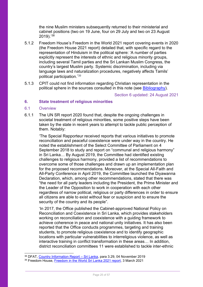the nine Muslim ministers subsequently returned to their ministerial and cabinet positions (two on 19 June, four on 29 July and two on 23 August 2019).'<sup>38</sup>

- 5.1.2 Freedom House's Freedom in the World 2021 report covering events in 2020 (the Freedom House 2021 report) detailed that, with specific regard to the representation of Hinduism in the political sphere: 'A number of parties explicitly represent the interests of ethnic and religious minority groups, including several Tamil parties and the Sri Lankan Muslim Congress, the country's largest Muslim party. Systemic discrimination, including via language laws and naturalization procedures, negatively affects Tamils' political participation.' 39
- 5.1.3 CPIT could not find information regarding Christian representation in the political sphere in the sources consulted in this note (see [Bibliography\)](#page-53-0).

Section 6 updated: 24 August 2021

## <span id="page-24-2"></span><span id="page-24-0"></span>**6. State treatment of religious minorities**

#### <span id="page-24-1"></span>6.1 Overview

6.1.1 The UN SR report 2020 found that, despite the ongoing challenges in societal treatment of religious minorities, some positive steps have been taken by the state in recent years to attempt to tackle public perception of them. Notably:

'The Special Rapporteur received reports that various initiatives to promote reconciliation and peaceful coexistence were under way in the country. He noted the establishment of the Select Committee of Parliament on 4 September 2018 to study and report on "communal and religious harmony" in Sri Lanka… By August 2019, the Committee had identified existing challenges to religious harmony, provided a list of recommendations to overcome some of those challenges and drawn up an implementation plan for the proposed recommendations. Moreover, at the Special All-Faith and All-Party Conference in April 2019, the Committee launched the Diyawanna Declaration, which, among other recommendations, stated that there was "the need for all party leaders including the President, the Prime Minister and the Leader of the Opposition to work in cooperation with each other regardless of narrow political, religious or party differences in order to ensure all citizens are able to exist without fear or suspicion and to ensure the security of the country and its people".

'In 2017, the Office published the Cabinet-approved National Policy on Reconciliation and Coexistence in Sri Lanka, which provides stakeholders working on reconciliation and coexistence with a guiding framework to achieve coherence in peace and national unity initiatives. It has also been reported that the Office conducts programmes, targeting and training students, to promote religious coexistence and to identify geographic locations with particular vulnerabilities to interreligious violence, as well as interactive training in conflict transformation in these areas… In addition, district reconciliation committees 11 were established to tackle inter-ethnic

<sup>38</sup> DFAT, [Country Information Report](https://www.dfat.gov.au/sites/default/files/country-information-report-sri-lanka.pdf) - Sri Lanka, para 3.29, 04 November 2019

<sup>39</sup> Freedom House, [Freedom in the World Sri Lanka 2021 report,](https://freedomhouse.org/country/sri-lanka/freedom-world/2021) 3 March 2021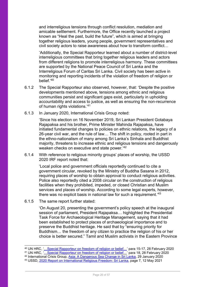and interreligious tensions through conflict resolution, mediation and amicable settlement. Furthermore, the Office recently launched a project known as "Heal the past, build the future", which is aimed at bringing together religious leaders, young people, government representatives and civil society actors to raise awareness about how to transform conflict…

'Additionally, the Special Rapporteur learned about a number of district-level interreligious committees that bring together religious leaders and actors from different religions to promote interreligious harmony. These committees are supported by the National Peace Council of Sri Lanka and the Interreligious Forum of Caritas Sri Lanka. Civil society has been active in monitoring and reporting incidents of the violation of freedom of religion or belief.'<sup>40</sup>

- 6.1.2 The Special Rapporteur also observed, however, that: 'Despite the positive developments mentioned above, tensions among ethnic and religious communities persist and significant gaps exist, particularly in upholding accountability and access to justice, as well as ensuring the non-recurrence of human rights violations.' 41
- 6.1.3 In January 2020, International Crisis Group noted:

'Since his election on 16 November 2019, Sri Lankan President Gotabaya Rajapaksa and his brother, Prime Minister Mahinda Rajapaksa, have initiated fundamental changes to policies on ethnic relations, the legacy of a 26-year civil war, and the rule of law… The shift in policy, rooted in part in the ethno-nationalism of many among Sri Lanka's Sinhala and Buddhist majority, threatens to increase ethnic and religious tensions and dangerously weaken checks on executive and state power.' 42

6.1.4 With reference to religious minority groups' places of worship, the USSD 2020 IRF report noted that:

'Local police and government officials reportedly continued to cite a government circular, revoked by the Ministry of Buddha Sasana in 2012, requiring places of worship to obtain approval to conduct religious activities. Police also reportedly cited a 2008 circular on the construction of religious facilities when they prohibited, impeded, or closed Christian and Muslim services and places of worship. According to some legal experts, however, there was no explicit basis in national law for such a requirement.'<sup>43</sup>

6.1.5 The same report further stated:

'On August 20, presenting the government's policy speech at the inaugural session of parliament, President Rajapaksa… highlighted the Presidential Task Force for Archaeological Heritage Management, saying that it had been established to protect places of archaeological importance and to preserve the Buddhist heritage. He said that by "ensuring priority for Buddhism… the freedom of any citizen to practice the religion of his or her choice is better secured." Tamil and Muslim activists in the Eastern Province

- <sup>41</sup> UN HRC, '<u>…Special Rapporteur on freedom of religion or belief…'</u> para 18, 28 February 2020
- <sup>42</sup> International Crisis Group, [Asia: A Dangerous Sea Change in Sri Lanka,](https://www.crisisgroup.org/watch-list-2020#sri) 29 January 2020

<sup>&</sup>lt;sup>40</sup> UN HRC, '<u>…Special Rapporteur on freedom of religion or belief…'</u> para 15-17, 28 February 2020

<sup>43</sup> USSD, [2020 Report on International Religious Freedom: Sri Lanka,](https://www.state.gov/reports/2020-report-on-international-religious-freedom/sri-lanka/) page 7, 12 May 2021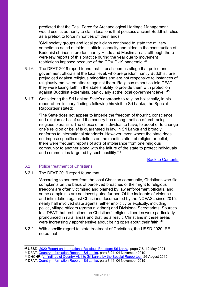predicted that the Task Force for Archaeological Heritage Management would use its authority to claim locations that possess ancient Buddhist relics as a pretext to force minorities off their lands.

'Civil society groups and local politicians continued to state the military sometimes acted outside its official capacity and aided in the construction of Buddhist shrines in predominantly Hindu and Muslim areas, although there were few reports of this practice during the year due to movement restrictions imposed because of the COVID-19 pandemic.' 44

- 6.1.6 The DFAT 2019 report found that: 'Local sources allege that police and government officials at the local level, who are predominantly Buddhist, are prejudiced against religious minorities and are not responsive to instances of religiously-motivated attacks against them. Religious minorities told DFAT they were losing faith in the state's ability to provide them with protection against Buddhist extremists, particularly at the local government level.<sup>'45</sup>
- 6.1.7 Considering the Sri Lankan State's approach to religion holistically, in his report of preliminary findings following his visit to Sri Lanka, the Special Rapporteur stated:

'The State does not appear to impede the freedom of thought, conscience and religion or belief and the country has a long tradition of embracing religious pluralism. The choice of an individual to have, to adopt or to change one's religion or belief is guaranteed in law in Sri Lanka and broadly conforms to international standards. However, even where the state does not impose specific restrictions on the manifestation of religion or belief, there were frequent reports of acts of intolerance from one religious community to another along with the failure of the state to protect individuals and communities targeted by such hostility.<sup>'46</sup>

[Back to Contents](#page-3-0)

## <span id="page-26-0"></span>6.2 Police treatment of Christians

6.2.1 The DFAT 2019 report found that:

'According to sources from the local Christian community, Christians who file complaints on the basis of perceived breaches of their right to religious freedom are often victimised and blamed by law enforcement officials, and some complaints are not investigated further. Of the incidents of violence and intimidation against Christians documented by the NCEASL since 2015, nearly half involved state agents, either implicitly or explicitly, including police, village officers (grama niladhari) and Divisional Secretariats. Sources told DFAT that restrictions on Christians' religious liberties were particularly pronounced in rural areas and that, as a result, Christians in these areas were increasingly apprehensive about being open about their faith.'47

6.2.2 With specific regard to state treatment of Christians, the USSD 2020 IRF noted that:

<sup>44</sup> USSD, [2020 Report on International Religious Freedom: Sri Lanka,](https://www.state.gov/reports/2020-report-on-international-religious-freedom/sri-lanka/) page 7-8, 12 May 2021

<sup>&</sup>lt;sup>45</sup> DFAT, <u>Country Information Report – Sri Lanka</u>, para 3.24, 04 November 2019

<sup>46</sup> OHCHR, '...findings of Country Visit [to Sri Lanka by the Special Rapporteur](https://www.ohchr.org/EN/NewsEvents/Pages/DisplayNews.aspx?NewsID=24918&LangID=E)' 26 August 2019

<sup>47</sup> DFAT, [Country Information Report](https://www.dfat.gov.au/sites/default/files/country-information-report-sri-lanka.pdf) – Sri Lanka, para 3.44, 04 November 2019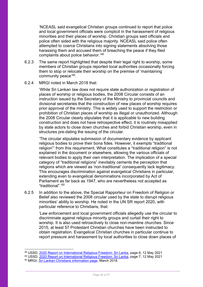'NCEASL said evangelical Christian groups continued to report that police and local government officials were complicit in the harassment of religious minorities and their places of worship. Christian groups said officials and police often sided with the religious majority. NCEASL said police often attempted to coerce Christians into signing statements absolving those harassing them and accused them of breaching the peace if they filed complaints about police behavior.'<sup>48</sup>

6.2.3 The same report highlighted that despite their legal right to worship, some members of Christian groups reported local authorities occasionally forcing them to stop or relocate their worship on the premise of 'maintaining community peace'49.

#### 6.2.4 MRGI noted in March 2018 that:

'While Sri Lankan law does not require state authorization or registration of places of worship or religious bodies, the 2008 Circular consists of an instruction issued by the Secretary of the Ministry to provincial councils and divisional secretaries that the construction of new places of worship requires prior approval of the ministry. This is widely used to support the restriction or prohibition of Christian places of worship as illegal or unauthorized. Although the 2008 Circular clearly stipulates that it is applicable to new building construction and does not have retrospective effect, it is routinely misapplied by state actors to close down churches and forbid Christian worship, even in structures pre-dating the issuing of the circular.

'The circular stipulates submission of documentary evidence by applicant religious bodies to prove their bona fides. However, it exempts "traditional religion"' from this requirement. What constitutes a "traditional religion" is not explained in the document or elsewhere, allowing the various officials of relevant bodies to apply their own interpretation. The implication of a special category of "traditional religions" inevitably cements the perception that religions which are viewed as 'non-traditional' consequently lack legitimacy. This encourages discrimination against evangelical Christians in particular, extending even to evangelical denominations incorporated by Act of Parliament as far back as 1947, who are nevertheless not accepted as "traditional".'<sup>50</sup>

6.2.5 In addition to the above, the Special Rapporteur on Freedom of Religion or Belief also reviewed the 2008 circular used by the state to disrupt religious minorities' ability to worship. He noted in the UN SR report 2020, with particular reference to Christians, that:

'Law enforcement and local government officials allegedly use the circular to discriminate against religious minority groups and curtail their right to worship. It is also used retroactively to close non-mainline churches. Since 2015, at least 57 Protestant Christian churches have been instructed to obtain registration. Evangelical Christian churches in particular continue to report pressure and harassment by local authorities to close down places of

<sup>48</sup> USSD, [2020 Report on International Religious Freedom: Sri Lanka,](https://www.state.gov/reports/2020-report-on-international-religious-freedom/sri-lanka/) page 6, 12 May 2021

<sup>49</sup> USSD, [2020 Report on International Religious Freedom: Sri Lanka,](https://www.state.gov/reports/2020-report-on-international-religious-freedom/sri-lanka/) page 7, 12 May 2021

<sup>50</sup> MRGI, [Sri Lankan Christians information page,](https://minorityrights.org/minorities/christians-4/) March 2018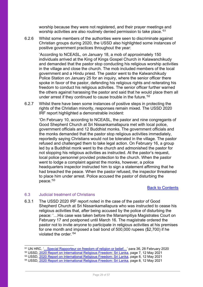worship because they were not registered, and their prayer meetings and worship activities are also routinely denied permission to take place.' 51

6.2.6 Whilst some members of the authorities were seen to discriminate against Christian groups during 2020, the USSD also highlighted some instances of positive government practices throughout the year:

'According to NCEASL, on January 18, a mob of approximately 150 individuals arrived at the King of Kings Gospel Church in Kalawanchikudy and demanded that the pastor stop conducting his religious worship activities in the village and close the church. The mob included members of the local government and a Hindu priest. The pastor went to the Kalwanchikudy Police Station on January 25 for an inquiry, where the senior officer there spoke in favor of the pastor, defending his religious rights and reiterating his freedom to conduct his religious activities. The senior officer further warned the others against harassing the pastor and said that he would place them all under arrest if they continued to cause trouble in the future.'<sup>52</sup>

6.2.7 Whilst there have been some instances of positive steps in protecting the rights of the Christian minority, responses remain mixed. The USSD 2020 IRF report highlighted a demonstrable incident:

'On February 10, according to NCEASL, the pastor and nine congregants of Good Shepherd Church at Sri Nissankamallapura met with local police, government officials and 12 Buddhist monks. The government officials and the monks demanded that the pastor stop religious activities immediately, reportedly saying Christians would not be tolerated in the village. The pastor refused and challenged them to take legal action. On February 16, a group led by a Buddhist monk went to the church and admonished the pastor for not stopping his religious activities as instructed. At the pastor's request, local police personnel provided protection to the church. When the pastor went to lodge a complaint against the monks, however, a police headquarters inspector instructed him to sign a statement affirming that he had breached the peace. When the pastor refused, the inspector threatened to place him under arrest. Police accused the pastor of disturbing the peace.' 53

#### [Back to Contents](#page-3-0)

#### <span id="page-28-0"></span>6.3 Judicial treatment of Christians

6.3.1 The USSD 2020 IRF report noted in the case of the pastor of Good Shepherd Church at Sri Nissankamallapura who was instructed to cease his religious activities that, after being accused by the police of disturbing the peace: '…His case was taken before the Manampitiya Magistrates Court on February 17 and postponed until March 16. The magistrate ordered the pastor not to invite anyone to participate in religious activities at his premises for one month and imposed a bail bond of 500,000 rupees (\$2,700) if he violated the order.' 54

<sup>&</sup>lt;sup>51</sup> UN HRC, '<u>…Special Rapporteur on freedom of religion or belief…'</u> para 36, 28 February 2020

<sup>&</sup>lt;sup>52</sup> USSD, <u>2020 Report on International Religious Freedom: Sri Lanka,</u> page 7, 12 May 2021

<sup>53</sup> USSD, [2020 Report on International Religious Freedom: Sri Lanka,](https://www.state.gov/reports/2020-report-on-international-religious-freedom/sri-lanka/) page 8, 12 May 2021

<sup>54</sup> USSD, [2020 Report on International Religious Freedom: Sri Lanka,](https://www.state.gov/reports/2020-report-on-international-religious-freedom/sri-lanka/) page 8, 12 May 2021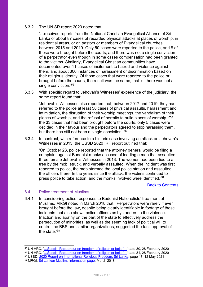#### 6.3.2 The UN SR report 2020 noted that:

'…received reports from the National Christian Evangelical Alliance of Sri Lanka of about 87 cases of recorded physical attacks at places of worship, in residential areas, or on pastors or members of Evangelical churches between 2015 and 2019. Only 50 cases were reported to the police, and 8 of those were brought before the courts, and there was not a single conviction of a perpetrator even though in some cases compensation had been granted to the victims. Similarly, Evangelical Christian communities have documented over 11 cases of incitement to hatred and violence against them, and about 300 instances of harassment or discrimination based on their religious identity. Of those cases that were reported to the police or brought before the courts, the result was the same, that is, there was not a single conviction.'<sup>55</sup>

6.3.3 With specific regard to Jehovah's Witnesses' experience of the judiciary, the same report found that:

'Jehovah's Witnesses also reported that, between 2017 and 2019, they had referred to the police at least 58 cases of physical assaults, harassment and intimidation, the disruption of their worship meetings, the vandalism of their places of worship, and the refusal of permits to build places of worship. Of the 33 cases that had been brought before the courts, only 5 cases were decided in their favour and the perpetrators agreed to stop harassing them, but there has still not been a single conviction.'<sup>56</sup>

6.3.4 In contrast, with reference to a historic case involving an attack on Jehovah's Witnesses in 2013, the USSD 2020 IRF report outlined that:

'On October 23, police reported that the attorney general would be filing a complaint against Buddhist monks accused of leading a mob that assaulted three female Jehovah's Witnesses in 2013. The women had been tied to a tree by the mob, struck, and verbally assaulted. When the incident was first reported to police, the mob stormed the local police station and assaulted the officers there. In the years since the attack, the victims continued to press police to take action, and the monks involved were identified.' 57

#### [Back to Contents](#page-3-0)

#### <span id="page-29-0"></span>6.4 Police treatment of Muslims

6.4.1 In considering police responses to Buddhist Nationalists' treatment of Muslims, MRGI noted in March 2018 that: 'Perpetrators were rarely if ever brought before the law, despite being clearly identifiable in footage of these incidents that also shows police officers as bystanders to the violence. Inaction and apathy on the part of the state to effectively address the persecution of minorities, as well as the seeming lack of political will to control the BBS and similar organizations, suggested the tacit approval of the state.' 58

- $^{56}$  UN HRC, '<u>…Special Rapporteur on freedom of religion or belief…'</u> para 81, 28 February 2020
- <sup>57</sup> USSD, [2020 Report on International Religious Freedom: Sri Lanka,](https://www.state.gov/reports/2020-report-on-international-religious-freedom/sri-lanka/) page 17, 12 May 2021

 $^{55}$  UN HRC, '<u>…Special Rapporteur on freedom of religion or belief…</u>' para 80, 28 February 2020

<sup>58</sup> MRGI, [Sri Lankan Muslims information page,](https://minorityrights.org/minorities/muslims-4/) March 2018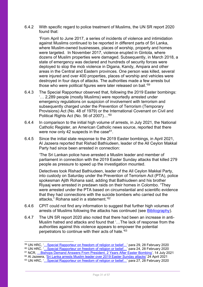6.4.2 With specific regard to police treatment of Muslims, the UN SR report 2020 found that:

'From April to June 2017, a series of incidents of violence and intimidation against Muslims continued to be reported in different parts of Sri Lanka, where Muslim-owned businesses, places of worship, property and homes were targeted. In November 2017, violence erupted in Gintota, where dozens of Muslim properties were damaged. Subsequently, in March 2018, a state of emergency was declared and hundreds of security forces were deployed to stop the mob violence in Digana, Kandy, Ampara and other areas in the Central and Eastern provinces. One person was killed, several were injured and over 400 properties, places of worship and vehicles were destroyed in four days of attacks. The authorities made a few arrests but those who were political figures were later released on bail.'<sup>59</sup>

- 6.4.3 The Special Rapporteur observed that, following the 2019 Easter bombings: '… 2,289 people (mostly Muslims) were reportedly arrested under emergency regulations on suspicion of involvement with terrorism and subsequently charged under the Prevention of Terrorism (Temporary Provisions) Act (No. 48 of 1979) or the International Covenant on Civil and Political Rights Act (No. 56 of 2007)…'<sup>60</sup>
- 6.4.4 In comparison to the initial high volume of arrests, in July 2021, the National Catholic Register, an American Catholic news source, reported that there were now only 42 suspects in the case $\rm ^{61}$ .
- 6.4.5 Since the initial state response to the 2019 Easter bombings, in April 2021, Al Jazeera reported that Rishad Bathiudeen, leader of the All Ceylon Makkal Party had since been arrested in connection:

'The Sri Lankan police have arrested a Muslim leader and member of parliament in connection with the 2019 Easter Sunday attacks that killed 279 people as pressure to speed up the investigation mounted.

Detectives took Rishad Bathiudeen, leader of the All Ceylon Makkal Party, into custody on Saturday under the Prevention of Terrorism Act (PTA), police spokesman Ajith Rohana said, adding that Bathiudeen and his brother Riyaaj were arrested in predawn raids on their homes in Colombo. "They were arrested under the PTA based on circumstantial and scientific evidence that they had connections with the suicide bombers who carried out the attacks," Rohana said in a statement.' 62

- 6.4.6 CPIT could not find any information to suggest that further high volumes of arrests of Muslims following the attacks has continued (see [Bibliography\)](#page-53-0).
- 6.4.7 The UN SR report 2020 also noted that there had been an increase in anti-Muslim hatred and attacks and found that '…The lack of response from the authorities against this violence appears to empower the potential perpetrators to continue with their acts of hate.' 63

- <sup>60</sup> UN HRC, ['…Special Rapporteur on freedom of religion or belief…'](https://undocs.org/A/HRC/43/48/Add.2) para 24, 28 February 2020
- <sup>61</sup> NCR, <u>…Bishops Demand Answers From President, 2 Years After Easter Bombing</u>', 14 July 2021
- <sup>62</sup> Al Jazeera, '<u>[Sri Lanka arrests Muslim leader over 2019 Easter Sunday attacks](https://www.aljazeera.com/news/2021/4/24/sri-lanka-arrests-muslim-leader-over-easter-attacks)</u>' 24 April 2021

<sup>59</sup> UN HRC, '...Special Rapporteur on freedom of religion or belief...' para 29, 28 February 2020

 $^{63}$  UN HRC, '<u>…Special Rapporteur on freedom of religion or belief…'</u> para 27, 28 February 2020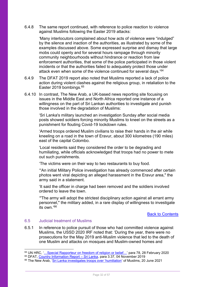6.4.8 The same report continued, with reference to police reaction to violence against Muslims following the Easter 2019 attacks:

'Many interlocutors complained about how acts of violence were "indulged" by the silence and inaction of the authorities, as illustrated by some of the examples discussed above. Some expressed surprise and dismay that large mobs could openly and for several hours rampage through minority community neighbourhoods without hindrance or reaction from law enforcement authorities, that some of the police participated in those violent incidents or that the authorities failed to adequately protect those under attack even when some of the violence continued for several days.'<sup>64</sup>

- 6.4.9 The DFAT 2019 report also noted that Muslims reported a lack of police action during violent clashes against the religious group, in retaliation to the Easter 2019 bombings.<sup>65</sup>
- 6.4.10 In contrast, The New Arab, a UK-based news reporting site focusing on issues in the Middle East and North Africa reported one instance of a willingness on the part of Sri Lankan authorities to investigate and punish those involved in the degradation of Muslims:

'Sri Lanka's military launched an investigation Sunday after social media posts showed soldiers forcing minority Muslims to kneel on the streets as a punishment for flouting Covid-19 lockdown rules.

'Armed troops ordered Muslim civilians to raise their hands in the air while kneeling on a road in the town of Eravur, about 300 kilometres (190 miles) east of the capital Colombo.

'Local residents said they considered the order to be degrading and humiliating, while officials acknowledged that troops had no power to mete out such punishments.

'The victims were on their way to two restaurants to buy food.

'"An initial Military Police investigation has already commenced after certain photos went viral depicting an alleged harassment in the Eravur area," the army said in a statement.

'It said the officer in charge had been removed and the soldiers involved ordered to leave the town.

'"The army will adopt the strictest disciplinary action against all errant army personnel," the military added, in a rare display of willingness to investigate its own.' 66

## [Back to Contents](#page-3-0)

## <span id="page-31-1"></span><span id="page-31-0"></span>6.5 Judicial treatment of Muslims

6.5.1 In reference to police pursuit of those who had committed violence against Muslims, the USSD 2020 IRF noted that: 'During the year, there were no prosecutions for the May 2019 anti-Muslim violence that led to the death of one Muslim and attacks on mosques and Muslim-owned homes and

<sup>&</sup>lt;sup>64</sup> UN HRC, '<u>…Special [Rapporteur on freedom of religion or belief…'](https://undocs.org/A/HRC/43/48/Add.2)</u> para 78, 28 February 2020

<sup>&</sup>lt;sup>65</sup> DFAT, [Country Information Report](https://www.dfat.gov.au/sites/default/files/country-information-report-sri-lanka.pdf) – Sri Lanka, para 3.37, 04 November 2019

<sup>&</sup>lt;sup>66</sup> The New Arab, '<u>Sri Lanka investigates troops over 'humiliation</u>' of Muslims, 20 June 2021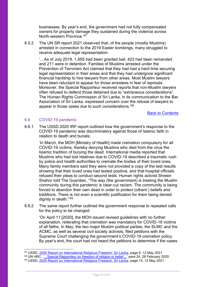businesses. By year's end, the government had not fully compensated owners for property damage they sustained during the violence across North-western Province<sup>'67</sup>

6.5.2 The UN SR report 2021 observed that, of the people (mostly Muslims) arrested in connection to the 2019 Easter bombings, many struggled to receive adequate legal representation:

'…As of July 2019, 1,655 had been granted bail, 423 had been remanded and 211 were in detention. Families of Muslims arrested under the Prevention of Terrorism Act claimed that they had had a hard time securing legal representation in their areas and that they had undergone significant financial hardship to hire lawyers from other areas. Most Muslim lawyers have been reluctant to appear for those arrestees in fear of reprisals. Moreover, the Special Rapporteur received reports that non-Muslim lawyers often refused to defend those detained due to "extraneous considerations". The Human Rights Commission of Sri Lanka, in its communication to the Bar Association of Sri Lanka, expressed concern over the refusal of lawyers to appear in those cases due to such considerations.'<sup>68</sup>

[Back to Contents](#page-3-0)

#### <span id="page-32-0"></span>6.6 COVID-19 pandemic

6.6.1 The USSD 2020 IRF report outlined how the government's response to the COVID-19 pandemic was discriminatory against those of Islamic faith in relation to death and burials:

'In March, the MOH [Ministry of Health] made cremation compulsory for all COVID-19 victims, thereby denying Muslims who died from the virus the Islamic tradition of burying the dead. International media reported that Muslims who had lost relatives due to COVID-19 described a traumatic rush by police and health authorities to cremate the bodies of their loved ones. Many family members said they were not provided a copy of the test results showing that their loved ones had tested positive, and that hospital officials refused their pleas to conduct second tests. Human rights activist Shreen Shahor told The Guardian, "The way (the government) is treating the Muslim community during this pandemic is clear-cut racism. The community is being forced to abandon their own dead in order to protect (others') beliefs and traditions. There is not even a scientific justification for them being denied dignity in death."'<sup>69</sup>

6.6.2 The same report further outlined the government response to repeated calls for the policy to be changed:

'On April 11 [2020], the MOH issued revised guidelines with no further explanation, reiterating that cremation was mandatory for COVID-19 victims of all faiths. In May, the two major Muslim political parties, the SLMC and the ACMC, as well as several civil society activists, filed petitions with the Supreme Court challenging the government's COVID-19 cremation policy. By year's end, the court had not heard the petitions to determine if the cases

- <sup>67</sup> USSD, <u>2020 Report on International Religious Freedom: Sri Lanka,</u> page 9, 12 May 2021
- 68 UN HRC, '...Special Rapporteur on freedom of religion or belief...' para 24, 28 February 2020

<sup>&</sup>lt;sup>69</sup> USSD, <u>2020 Report on International Religious Freedom: Sri Lanka,</u> page 13, 12 May 2021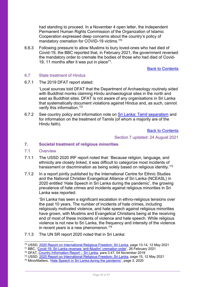had standing to proceed. In a November 4 open letter, the Independent Permanent Human Rights Commission of the Organization of Islamic Cooperation expressed deep concerns about the country's policy of mandatory cremation for COVID-19 victims.'<sup>70</sup>

6.6.3 Following pressure to allow Muslims to bury loved-ones who had died of Covid-19, the BBC reported that, in February 2021, the government reversed the mandatory order to cremate the bodies of those who had died of Covid-19, 11 months after it was put in place<sup>71</sup>.

[Back to Contents](#page-3-0)

## <span id="page-33-0"></span>6.7 State treatment of Hindus

6.7.1 The 2019 DFAT report stated:

'Local sources told DFAT that the Department of Archaeology routinely sided with Buddhist monks claiming Hindu archaeological sites in the north and east as Buddhist sites. DFAT is not aware of any organisations in Sri Lanka that systematically document violations against Hindus and, as such, cannot verify this information.'<sup>72</sup>

6.7.2 See country policy and information note on [Sri Lanka: Tamil separatism](https://assets.publishing.service.gov.uk/government/uploads/system/uploads/attachment_data/file/994246/Sri_Lanka_-_Tamil_separatism_-_CPIN_-_June_2021_-_ext.pdf) and for information on the treatment of Tamils (of whom a majority are of the Hindu faith).

[Back to Contents](#page-3-0)

Section 7 updated: 24 August 2021

## <span id="page-33-1"></span>**7. Societal treatment of religious minorities**

#### <span id="page-33-2"></span>7.1 Overview

- 7.1.1 The USSD 2020 IRF report noted that: 'Because religion, language, and ethnicity are closely linked, it was difficult to categorize most incidents of harassment or discrimination as being solely based on religious identity.<sup>'73</sup>
- 7.1.2 In a report jointly published by the International Centre for Ethnic Studies and the National Christian Evangelical Alliance of Sri Lanka (NCEASL) in 2020 entitled 'Hate Speech in Sri Lanka during the pandemic', the growing prevalence of hate crimes and incidents against religious minorities in Sri Lanka was reported:

'Sri Lanka has seen a significant escalation in ethno-religious tensions over the past 10 years. The number of incidents of hate crimes, including religiously motivated violence, and hate speech against religious minorities have grown, with Muslims and Evangelical Christians being at the receiving end of most of these incidents of violence and hate speech. While religious violence is not new to Sri Lanka, the frequency and intensity of the violence in recent years is a new phenomenon.' 74

7.1.3 The UN SR report 2020 noted that in Sri Lanka:

<sup>70</sup> USSD, [2020 Report on International Religious Freedom: Sri Lanka,](https://www.state.gov/reports/2020-report-on-international-religious-freedom/sri-lanka/) page 13-14, 12 May 2021

<sup>71</sup> BBC, 'Covid-[19: Sri Lanka reverses 'anti](https://www.bbc.co.uk/news/world-asia-56205737)-Muslim' cremation order', 26 February 2021

<sup>&</sup>lt;sup>72</sup> DFAT, [Country Information Report](https://www.dfat.gov.au/sites/default/files/country-information-report-sri-lanka.pdf) – Sri Lanka, para 3.47, 04 November 2019

<sup>73</sup> USSD, [2020 Report on International Religious Freedom: Sri Lanka,](https://www.state.gov/reports/2020-report-on-international-religious-freedom/sri-lanka/) page 15, 12 May 2021

<sup>74</sup> MinorMatters, '[Hate Speech in Sri Lanka during the pandemic](https://www.minormatters.org/storage/app/uploads/public/5fc/76b/014/5fc76b014d43f554793096.pdf)', page 3, 2020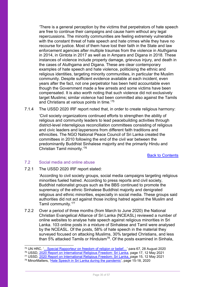'There is a general perception by the victims that perpetrators of hate speech are free to continue their campaigns and cause harm without any legal repercussions. The minority communities are feeling extremely vulnerable with the constant threat of hate speech and hate crimes while they have no recourse for justice. Most of them have lost their faith in the State and law enforcement agencies after multiple traumas from the violence in Aluthgama in 2014, in Gintota in 2017 as well as in Ampara and Digana in 2018. These instances of violence include property damage, grievous injury, and death in the cases of Aluthgama and Digana. These are clear contemporary examples of hate speech and hate violence, politicising the ethnic and religious identities, targeting minority communities, in particular the Muslim community. Despite sufficient evidence available at each incident, even years after the fact, not one perpetrator has been held accountable even though the Government made a few arrests and some victims have been compensated. It is also worth noting that such violence did not exclusively target Muslims; similar violence had been committed also against the Tamils and Christians at various points in time.'<sup>75</sup>

7.1.4 The USSD 2020 IRF report noted that, in order to create religious harmony:

'Civil society organizations continued efforts to strengthen the ability of religious and community leaders to lead peacebuilding activities through district-level interreligious reconciliation committees consisting of religious and civic leaders and laypersons from different faith traditions and ethnicities. The NGO National Peace Council of Sri Lanka created the committees in 2010 following the end of the civil war between the predominantly Buddhist Sinhalese majority and the primarily Hindu and Christian Tamil minority.'<sup>76</sup>

[Back to Contents](#page-3-0)

## <span id="page-34-1"></span><span id="page-34-0"></span>7.2 Social media and online abuse

7.2.1 The USSD 2020 IRF report stated:

'According to civil society groups, social media campaigns targeting religious minorities fueled hatred. According to press reports and civil society, Buddhist nationalist groups such as the BBS continued to promote the supremacy of the ethnic Sinhalese Buddhist majority and denigrated religious and ethnic minorities, especially in social media. These groups said authorities did not act against those inciting hatred against the Muslim and Tamil community.' 77

7.2.2 Over a period of three months (from March to June 2020) the National Christian Evangelical Alliance of Sri Lanka (NCEASL) reviewed a number of online websites to analyse hate speech against religious minorities in Sri Lanka. 103 online posts in a mixture of Sinhalese and Tamil were analysed by the NCEASL. Of the posts, 58% of hate speech in the material they surveyed focused on attacking Muslims, 30% targeted Christians, and less than 5% attacked Tamils or Hinduism<sup>78</sup>. Of the posts examined in Sinhala,

- <sup>76</sup> USSD, <u>2020 Report on International Religious Freedom: Sri Lanka,</u> page 17, 12 May 2021
- <sup>77</sup> USSD, [2020 Report on International Religious Freedom: Sri Lanka,](https://www.state.gov/reports/2020-report-on-international-religious-freedom/sri-lanka/) page 15, 12 May 2021

<sup>&</sup>lt;sup>75</sup> UN HRC, '<u>…Special Rapporteur on freedom of religion or belief…'</u> para 67, 28 August 2020

<sup>78</sup> MinorMatters, '[Hate Speech in Sri Lanka during the pandemic](https://www.minormatters.org/storage/app/uploads/public/5fc/76b/014/5fc76b014d43f554793096.pdf)', page 15-18, 2020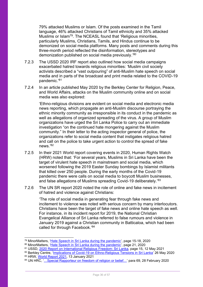79% attacked Muslims or Islam. Of the posts examined in the Tamil language, 46% attacked Christians of Tamil ethnicity and 35% attacked Muslims or Islam<sup>79</sup>. The NCEASL found that 'Religious minorities, particularly Muslims, Christians, Tamils, and Hindus continue to be demonized on social media platforms. Many posts and comments during this three-month period reflected the disinformation, stereotypes and demonization published on social media previously.'80

- 7.2.3 The USSD 2020 IRF report also outlined how social media campaigns exacerbated hatred towards religious minorities: 'Muslim civil society activists described a "vast outpouring" of anti-Muslim hate speech on social media and in parts of the broadcast and print media related to the COVID-19 pandemic.' 81
- 7.2.4 In an article published May 2020 by the Berkley Center for Religion, Peace, and World Affairs, attacks on the Muslim community online and on social media was also explored:

'Ethno-religious divisions are evident on social media and electronic media news reporting, which propagate an anti-Muslim discourse portraying the ethnic minority community as irresponsible in its conduct in the pandemic as well as allegations of organized spreading of the virus. A group of Muslim organizations have urged the Sri Lanka Police to carry out an immediate investigation "on the continued hate mongering against the Muslim community." In their letter to the acting inspector general of police, the organizations refer to social media content that instigates religious hatred and call on the police to take urgent action to control the spread of fake news.' 82

- 7.2.5 In their 2021 World report covering events in 2020, Human Rights Watch (HRW) noted that: 'For several years, Muslims in Sri Lanka have been the target of virulent hate speech in mainstream and social media, which worsened following the 2019 Easter Sunday bombings by Islamist militants that killed over 250 people. During the early months of the Covid-19 pandemic there were calls on social media to boycott Muslim businesses, and false allegations of Muslims spreading Covid-19 deliberately.'<sup>83</sup>
- 7.2.6 The UN SR report 2020 noted the role of online and fake news in incitement of hatred and violence against Christians:

'The role of social media in generating fear through fake news and incitement to violence was noted with serious concern by many interlocutors. Christians have been the target of fake news and online hate speech as well. For instance, in its incident report for 2019, the National Christian Evangelical Alliance of Sri Lanka referred to false rumours and violence in January 2019 against a Christian community in Batticaloa, which had been called for through Facebook.'<sup>84</sup>

<sup>79</sup> MinorMatters, '[Hate Speech in Sri Lanka during the pandemic](https://www.minormatters.org/storage/app/uploads/public/5fc/76b/014/5fc76b014d43f554793096.pdf)', page 15-18, 2020

<sup>80</sup> MinorMatters, '[Hate Speech in Sri Lanka during the pandemic](https://www.minormatters.org/storage/app/uploads/public/5fc/76b/014/5fc76b014d43f554793096.pdf)', page 21, 2020

<sup>81</sup> USSD, [2020 Report on International Religious](https://www.state.gov/reports/2020-report-on-international-religious-freedom/sri-lanka/) Freedom: Sri Lanka, page 15, 12 May 2021

<sup>82</sup> Berkley Centre, '[Implications of Covid-19 on Ethno-Religious Tensions in Sri Lanka](https://berkleycenter.georgetown.edu/posts/implications-of-covid-19-on-ethno-religious-tensions-in-sri-lanka)' 26 May 2020 83 HRW, [World Report 2021,](https://www.hrw.org/world-report/2021/country-chapters/sri-lanka) 13 January 2021

<sup>84</sup> UN HRC, '...Special Rapporteur on freedom of religion or belief...' para 69, 28 February 2020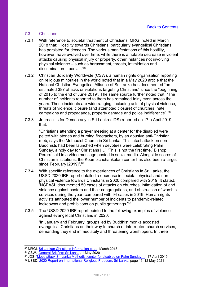## <span id="page-36-1"></span><span id="page-36-0"></span>7.3 Christians

- 7.3.1 With reference to societal treatment of Christians, MRGI noted in March 2018 that: 'Hostility towards Christians, particularly evangelical Christians, has persisted for decades. The various manifestations of this hostility, however, have evolved over time: while there is a notable decrease in violent attacks causing physical injury or property, other instances not involving physical violence – such as harassment, threats, intimidation and discrimination – persist.' 85
- 7.3.2 Christian Solidarity Worldwide (CSW), a human rights organisation reporting on religious minorities in the world noted that in a May 2020 article that the National Christian Evangelical Alliance of Sri Lanka has documented "an estimated 387 attacks or violations targeting Christians" since the "beginning of 2015 to the end of June 2019". The same source further noted that, "The number of incidents reported to them has remained fairly even across the years. These incidents are wide ranging, including acts of physical violence, threats of violence, closure (and attempted closure) of churches, hate campaigns and propaganda, property damage and police indifference".<sup>86</sup>
- 7.3.3 Journalists for Democracy in Sri Lanka (JDS) reported on 17th April 2019 that:

"Christians attending a prayer meeting at a center for the disabled were pelted with stones and burning firecrackers, by an abusive anti-Christian mob, says the Methodist Church in Sri Lanka. This latest attack on non Buddhists had been launched when devotees were celebrating Palm Sunday, a holy day for Christians […] 'This is not the first time,' Bishop Perera said in a video message posted in social media. Alongside scores of Christian institutions, the Koombichchankulam center has also been a target since February [2019]".<sup>87</sup>

- 7.3.4 With specific reference to the experiences of Christians in Sri Lanka, the USSD 2020 IRF report detailed a decrease in societal physical and nonphysical violence towards Christians in 2020 compared with 2019. It stated: 'NCEASL documented 50 cases of attacks on churches, intimidation of and violence against pastors and their congregations, and obstruction of worship services during the year, compared with 94 cases in 2019. Human rights activists attributed the lower number of incidents to pandemic-related lockdowns and prohibitions on public gatherings.<sup>'88</sup>
- 7.3.5 The USSD 2020 IRF report pointed to the following examples of violence against evangelical Christians in 2020:

'In January and February, groups led by Buddhist monks accosted evangelical Christians on their way to church or interrupted church services, demanding they end immediately and threatening worshippers. In three

87 JDS, 'Mobs attack Sri Lanka Methodist center for disabled on Palm Sunday...', 17 April 2019

<sup>85</sup> MRGI, [Sri Lankan Christians information page,](https://minorityrights.org/minorities/christians-4/) March 2018

<sup>86</sup> CSW, '[General Briefing: Sri Lanka](https://www.csw.org.uk/2020/05/01/report/4640/article.htm)', 1 May 2020

<sup>88</sup> USSD, [2020 Report on International Religious Freedom: Sri Lanka,](https://www.state.gov/reports/2020-report-on-international-religious-freedom/sri-lanka/) page 16, 12 May 2021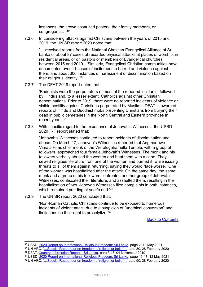instances, the crowd assaulted pastors, their family members, or congregants…'<sup>89</sup>

7.3.6 In considering attacks against Christians between the years of 2015 and 2019, the UN SR report 2020 noted that:

'… received reports from the National Christian Evangelical Alliance of Sri Lanka of about 87 cases of recorded physical attacks at places of worship, in residential areas, or on pastors or members of Evangelical churches between 2015 and 2019... Similarly, Evangelical Christian communities have documented over 11 cases of incitement to hatred and violence against them, and about 300 instances of harassment or discrimination based on their religious identity.'<sup>90</sup>

7.3.7 The DFAT 2019 report noted that:

'Buddhists were the perpetrators of most of the reported incidents, followed by Hindus and, to a lesser extent, Catholics against other Christian denominations. Prior to 2019, there were no reported incidents of violence or visible hostility against Christians perpetrated by Muslims. DFAT is aware of reports of Hindu and Buddhist mobs preventing Christians from burying their dead in public cemeteries in the North Central and Eastern provinces in recent years.'<sup>91</sup>

7.3.8 With specific regard to the experience of Jehovah's Witnesses, the USSD 2020 IRF report stated that:

'Jehovah's Witnesses continued to report incidents of discrimination and abuse. On March 17, Jehovah's Witnesses reported that Angmaduwe Vimala Himi, chief monk of the Weralugahamulla Temple, with a group of followers, approached four female Jehovah's Witnesses. The monk and his followers verbally abused the women and beat them with a cane. They seized religious literature from one of the women and burned it, while issuing threats to all of them against returning, saying they would "face worse." One of the women was hospitalized after the attack. On the same day, the same monk and a group of his followers confronted another group of Jehovah's Witnesses, confiscated their literature, and assaulted them, resulting in the hospitalization of two. Jehovah Witnesses filed complaints in both instances, which remained pending at year's end.'<sup>92</sup>

7.3.9 The UN SR report 2020 concluded that:

<span id="page-37-0"></span>'Non-Roman Catholic Christians continue to be exposed to numerous incidents of violent attack due to a suspicion of "unethical conversion" and limitations on their right to proselytize.<sup>'93</sup>

[Back to Contents](#page-3-0)

92 USSD, [2020 Report on International Religious Freedom: Sri Lanka,](https://www.state.gov/reports/2020-report-on-international-religious-freedom/sri-lanka/) page 16-17, 12 May 2021

<sup>89</sup> USSD, [2020 Report on International Religious Freedom: Sri Lanka,](https://www.state.gov/reports/2020-report-on-international-religious-freedom/sri-lanka/) page 2, 12 May 2021

<sup>90</sup> UN HRC, ['…Special Rapporteur on freedom of religion or belief…'](https://undocs.org/A/HRC/43/48/Add.2) para 80, 28 February 2020

<sup>&</sup>lt;sup>91</sup> DFAT, <u>Country Information Report – Sri Lanka</u>, para 3.43, 04 November 2019

<sup>93</sup> UN HRC, '...Special Rapporteur on freedom of religion or belief...' para 90, 28 February 2020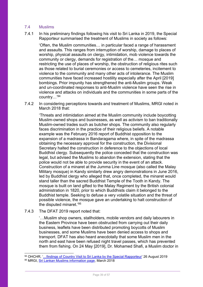## <span id="page-38-0"></span>7.4 Muslims

7.4.1 In his preliminary findings following his visit to Sri Lanka in 2019, the Special Rapporteur summarised the treatment of Muslims in society as follows:

'Often, the Muslim communities… in particular faced a range of harassment and assaults. This ranges from interruption of worship, damage to places of worship, physical assaults on clergy, intimidation, mob violence towards the community or clergy, demands for registration of the… mosque and restricting the use of places of worship, the obstruction of religious rites such as those related to burial ceremonies or access to cemeteries, incitement to violence to the community and many other acts of intolerance. The Muslim communities have faced increased hostility especially after the April [2019] bombings. Prior impunity has strengthened the anti-Muslim groups. Weak and un-coordinated responses to anti-Muslim violence have seen the rise in violence and attacks on individuals and the communities in some parts of the country…'<sup>94</sup>

7.4.2 In considering perceptions towards and treatment of Muslims, MRGI noted in March 2018 that:

'Threats and intimidation aimed at the Muslim community include boycotting Muslim-owned shops and businesses, as well as activism to ban traditionally Muslim-owned trades such as butcher shops. The community also regularly faces discrimination in the practice of their religious beliefs. A notable example was the February 2016 report of Buddhist opposition to the expansion of a madrassa in Bandaragama where, in spite of the madrassa obtaining the necessary approval for the construction, the Divisional Secretary halted the construction in deference to the objections of local Buddhist clergy. Subsequently the police conceded that the construction was legal, but advised the Muslims to abandon the extension, stating that the police would not be able to provide security in the event of an attack. Construction of a minaret at the Jumma Line mosque (also called the Malay Military mosque) in Kandy similarly drew angry demonstrations in June 2016, led by Buddhist clergy who alleged that, once completed, the minaret would stand taller than the sacred Buddhist Temple of the Tooth in Kandy. The mosque is built on land gifted to the Malay Regiment by the British colonial administration in 1820, prior to which Buddhists claim it belonged to the Buddhist temple. Seeking to defuse a very volatile situation and the threat of possible violence, the mosque gave an undertaking to halt construction of the disputed minaret.' 95

7.4.3 The DFAT 2019 report noted that:

'…Muslim shop owners, stallholders, mobile vendors and daily labourers in the Eastern Province have been obstructed from carrying out their daily business, leaflets have been distributed promoting boycotts of Muslim businesses, and some Muslims have been denied access to shops and transport. DFAT has also heard anecdotally that some Muslim men in the north and east have been refused night travel passes, which has prevented them from fishing. On 24 May [2019], Dr. Mohamed Shafi, a Muslim doctor in

<sup>94</sup> OHCHR, '...findings of Country [Visit to Sri Lanka by the Special Rapporteur](https://www.ohchr.org/EN/NewsEvents/Pages/DisplayNews.aspx?NewsID=24918&LangID=E)' 26 August 2019

<sup>95</sup> MRGI, [Sri Lankan Muslims information page,](https://minorityrights.org/minorities/muslims-4/) March 2018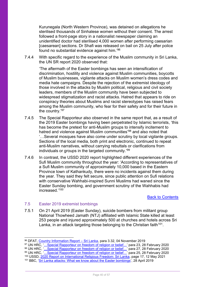Kurunegala (North Western Province), was detained on allegations he sterilised thousands of Sinhalese women without their consent. The arrest followed a front-page story in a nationalist newspaper claiming an unidentified doctor had sterilised 4,000 women after performing caesarian [caesarean] sections. Dr Shafi was released on bail on 25 July after police found no substantial evidence against him.' 96

7.4.4 With specific regard to the experience of the Muslim community in Sri Lanka, the UN SR report 2020 observed that:

'The aftermath of the Easter bombings has seen an intensification of discrimination, hostility and violence against Muslim communities, boycotts of Muslim businesses, vigilante attacks on Muslim women's dress codes and media hate campaigns. Despite the rejection of the extremist ideology of those involved in the attacks by Muslim political, religious and civil society leaders, members of the Muslim community have been subjected to widespread stigmatization and racist attacks. Hatred that appears to ride on conspiracy theories about Muslims and racist stereotypes has raised fears among the Muslim community, who fear for their safety and for their future in the country.'<sup>97</sup>

- 7.4.5 The Special Rapporteur also observed in the same report that, as a result of the 2019 Easter bombings having been perpetrated by Islamic terrorists, 'this has become the pretext for anti-Muslim groups to intensify incitement to hatred and violence against Muslim communities'<sup>98</sup> and also noted that '…Several mosques have also come under scrutiny by local vigilante groups. Sections of the local media, both print and electronic, continued to repeat anti-Muslim narratives, without carrying rebuttals or clarifications from individuals or groups in the targeted community.' 99
- 7.4.6 In contrast, the USSD 2020 report highlighted different experiences of the Sufi Muslim community throughout the year: 'According to representatives of a Sufi Muslim community of approximately 10,000 based in the Eastern Province town of Kathankudy, there were no incidents against them during the year. They said they felt secure, since public attention on Sufi relations with conservative Wahhabi-inspired Sunni Muslims had waned since the Easter Sunday bombing, and government scrutiny of the Wahhabis had increased.'<sup>100</sup>

## [Back to Contents](#page-3-0)

## <span id="page-39-1"></span><span id="page-39-0"></span>7.5 Easter 2019 extremist bombings

7.5.1 On 21 April 2019 (Easter Sunday), suicide bombers from militant group National Thowheed Jamath (NTJ) affiliated with Islamic State killed at least 253 people and injured approximately 500 at churches and hotels across Sri Lanka, in an attack targeting those belonging to the Christian faith $^{101}$ .

<sup>99</sup> UN HRC, ['…Special Rapporteur on freedom of religion or belief…'](https://undocs.org/A/HRC/43/48/Add.2) para 25, 28 February 2020

<sup>&</sup>lt;sup>96</sup> DFAT, <u>Country Information Report – Sri Lanka</u>, para 3.32, 04 November 2019

<sup>97</sup> UN HRC, '...Special Rapporteur on freedom of religion or belief...' para 23, 28 February 2020

<sup>&</sup>lt;sup>98</sup> UN HRC, '<u>…Special Rapporteur on freedom of religion or belief…'</u> para 27, 28 February 2020

<sup>&</sup>lt;sup>100</sup> USSD, [2020 Report on International Religious Freedom: Sri Lanka,](https://www.state.gov/reports/2020-report-on-international-religious-freedom/sri-lanka/) page 17, 12 May 2021

<sup>101</sup> BBC, '[Sri Lanka attacks: What we know about the Easter bombings](https://www.bbc.co.uk/news/world-asia-48010697)', 28 April 2019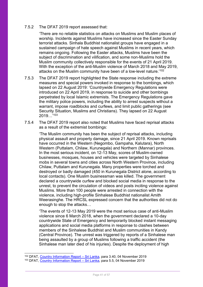#### 7.5.2 The DFAT 2019 report assessed that:

'There are no reliable statistics on attacks on Muslims and Muslim places of worship. Incidents against Muslims have increased since the Easter Sunday terrorist attacks. Sinhala Buddhist nationalist groups have engaged in a sustained campaign of hate speech against Muslims in recent years, which remains ongoing. Following the Easter attacks, Muslims have been the subject of discrimination and vilification, and some non-Muslims hold the Muslim community collectively responsible for the events of 21 April 2019. With the exception of the anti-Muslim violence of March 2018 and May 2019, attacks on the Muslim community have been of a low-level nature.<sup>'102</sup>

7.5.3 The DFAT 2019 report highlighted the State response including the extreme measures and special powers invoked in response to the bombings, which lapsed on 22 August 2019: 'Countrywide Emergency Regulations were introduced on 22 April 2019, in response to suicide and other bombings perpetrated by local Islamic extremists. The Emergency Regulations gave the military police powers, including the ability to arrest suspects without a warrant, impose roadblocks and curfews, and limit public gatherings (see Security Situation, Muslims and Christians). They lapsed on 22 August 2019…' 103

7.5.4 The DFAT 2019 report also noted that Muslims have faced reprisal attacks as a result of the extremist bombings:

'The Muslim community has been the subject of reprisal attacks, including physical assault and property damage, since 21 April 2019. Known reprisals have occurred in the Western (Negombo, Gampaha, Kalutara), North Western (Puttalam, Chilaw, Kurunegala) and Northern (Mannar) provinces. In the most serious incident, on 12-13 May, scores of Muslim-owned businesses, mosques, houses and vehicles were targeted by Sinhalese mobs in several towns and cities across North Western Province, including Chilaw, Puttalam and Kurunegala. Many properties were torched and destroyed or badly damaged (450 in Kurunegala District alone, according to local contacts). One Muslim businessman was killed. The government declared a countrywide curfew and blocked social media in response to the unrest, to prevent the circulation of videos and posts inciting violence against Muslims. More than 100 people were arrested in connection with the violence, including high-profile Sinhalese Buddhist nationalist Amith Weerasinghe. The HRCSL expressed concern that the authorities did not do enough to stop the attacks…

'The events of 12-13 May 2019 were the most serious case of anti-Muslim violence since 6 March 2018, when the government declared a 10-day countrywide State of Emergency and temporarily blocked instant messaging applications and social media platforms in response to clashes between members of the Sinhalese Buddhist and Muslim communities in Kandy (Central Province). The unrest was triggered by reports of a Sinhalese man being assaulted by a group of Muslims following a traffic accident (the Sinhalese man later died of his injuries). Despite the deployment of high

<sup>102</sup> DFAT, [Country Information Report](https://www.dfat.gov.au/sites/default/files/country-information-report-sri-lanka.pdf) - Sri Lanka, para 3.40, 04 November 2019

<sup>&</sup>lt;sup>103</sup> DFAT, [Country Information Report](https://www.dfat.gov.au/sites/default/files/country-information-report-sri-lanka.pdf) – Sri Lanka, para 5.5, 04 November 2019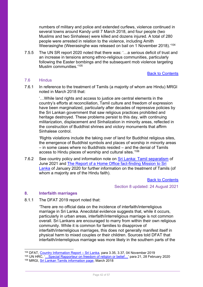numbers of military and police and extended curfews, violence continued in several towns around Kandy until 7 March 2018, and four people (two Muslims and two Sinhalese) were killed and dozens injured. A total of 280 people were arrested in relation to the violence, including Amith Weerasinghe (Weerasinghe was released on bail on 1 November 2018).'<sup>104</sup>

7.5.5 The UN SR report 2020 noted that there was: '…a serious deficit of trust and an increase in tensions among ethno-religious communities, particularly following the Easter bombings and the subsequent mob violence targeting Muslim communities.'<sup>105</sup>

[Back to Contents](#page-3-0)

#### <span id="page-41-2"></span><span id="page-41-0"></span>7.6 Hindus

7.6.1 In reference to the treatment of Tamils (a majority of whom are Hindu) MRGI noted in March 2018 that:

'…While land rights and access to justice are central elements in the country's efforts at reconciliation, Tamil culture and freedom of expression have been marginalized, particularly after decades of repressive policies by the Sri Lankan government that saw religious practices prohibited and heritage destroyed. These problems persist to this day, with continuing militarization, displacement and Sinhalization in minority areas, reflected in the construction of Buddhist shrines and victory monuments that affirm Sinhalese control.

'Rights violations include the taking over of land for Buddhist religious sites, the emergence of Buddhist symbols and places of worship in minority areas – in some cases where no Buddhists resided – and the denial of Tamils access to Hindu places of worship and cultural sites.' 106

7.6.2 See country policy and information note on [Sri Lanka: Tamil separatism](https://assets.publishing.service.gov.uk/government/uploads/system/uploads/attachment_data/file/994246/Sri_Lanka_-_Tamil_separatism_-_CPIN_-_June_2021_-_ext.pdf) of June 2021 and [The Report of a Home Office fact-finding Mission to Sri](https://assets.publishing.service.gov.uk/government/uploads/system/uploads/attachment_data/file/859277/Sri_Lanka_FFM_report_2020.pdf)  [Lanka](https://assets.publishing.service.gov.uk/government/uploads/system/uploads/attachment_data/file/859277/Sri_Lanka_FFM_report_2020.pdf) of January 2020 for further information on the treatment of Tamils (of whom a majority are of the Hindu faith).

> [Back to Contents](#page-3-0) Section 8 updated: 24 August 2021

#### <span id="page-41-1"></span>**8. Interfaith marriages**

8.1.1 The DFAT 2019 report noted that:

'There are no official data on the incidence of interfaith/interreligious marriage in Sri Lanka. Anecdotal evidence suggests that, while it occurs, particularly in urban areas, interfaith/interreligious marriage is not common overall. Sri Lankans are encouraged to marry from within their own religious community. While it is common for families to disapprove of interfaith/interreligious marriages, this does not generally manifest itself in physical harm to mixed couples or their children. Sources told DFAT that interfaith/interreligious marriage was more likely in the southern parts of the

<sup>&</sup>lt;sup>104</sup> DFAT, <u>Country Information Report – Sri Lanka</u>, para 3.35, 3.37, 04 November 2019

<sup>105</sup> UN HRC, '...Special Rapporteur on freedom of religion or belief...' para 21, 28 February 2020 <sup>106</sup> MRGI, [Sri Lankan Tamils information page,](https://minorityrights.org/minorities/tamils/) March 2018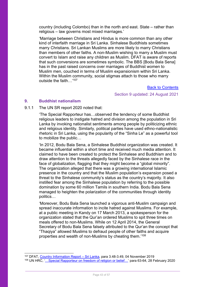country (including Colombo) than in the north and east. State – rather than religious – law governs most mixed marriages.'

'Marriage between Christians and Hindus is more common than any other kind of interfaith marriage in Sri Lanka. Sinhalese Buddhists sometimes marry Christians. Sri Lankan Muslims are more likely to marry Christians than members of other faiths. A non-Muslim wishing to marry a Muslim must convert to Islam and raise any children as Muslim. DFAT is aware of reports that such conversions are sometimes symbolic. The BBS [Bodu Bala Sena] has in the past raised concerns over marriages of Buddhist women to Muslim men, couched in terms of Muslim expansionism within Sri Lanka. Within the Muslim community, social stigmas attach to those who marry outside the faith…'<sup>107</sup>

> [Back to Contents](#page-3-0) Section 9 updated: 24 August 2021

#### <span id="page-42-0"></span>**9. Buddhist nationalism**

#### 9.1.1 The UN SR report 2020 noted that:

'The Special Rapporteur has…observed the tendency of some Buddhist religious leaders to instigate hatred and division among the population in Sri Lanka by invoking nationalist sentiments among people by politicizing ethnic and religious identity. Similarly, political parties have used ethno-nationalistic rhetoric in Sri Lanka, using the popularity of the "Sinha Le" as a powerful tool to mobilize the public…

'In 2012, Bodu Bala Sena, a Sinhalese Buddhist organization was created. It became influential within a short time and received much media attention. It claimed to have been created to protect the Sinhalese and Buddhism and to draw attention to the threats allegedly faced by the Sinhalese race in the face of globalization, flagging that they might become a "global minority". The organization alleged that there was a growing international Islamic presence in the country and that the Muslim population's expansion posed a threat to the Sinhalese community's status as the country's majority. It also instilled fear among the Sinhalese population by referring to the possible domination by some 60 million Tamils in southern India. Bodu Bala Sena managed to heighten the polarization of the communities through identity politics…

'Moreover, Bodu Bala Sena launched a vigorous anti-Muslim campaign and spread inaccurate information to incite hatred against Muslims. For example, at a public meeting in Kandy on 17 March 2013, a spokesperson for the organization stated that the Qur'an ordered Muslims to spit three times on meals offered to non-Muslims. While on 12 April 2014, the General Secretary of Bodu Bala Sena falsely attributed to the Qur'an the concept that "Thaqiya" allowed Muslims to defraud people of other faiths and acquire properties and wealth of non-Muslims by cheating them.'<sup>108</sup>

<sup>&</sup>lt;sup>107</sup> DFAT, [Country Information Report](https://www.dfat.gov.au/sites/default/files/country-information-report-sri-lanka.pdf) - Sri Lanka, para 3.48-3.49, 04 November 2019 <sup>108</sup> UN HRC, ['…Special Rapporteur on freedom of religion or belief…'](https://undocs.org/A/HRC/43/48/Add.2) para 63-64, 28 February 2020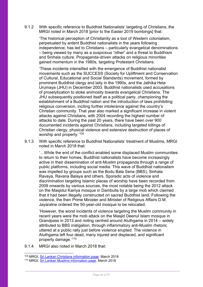9.1.2 With specific reference to Buddhist Nationalists' targeting of Christians, the MRGI noted in March 2018 [prior to the Easter 2019 bombings] that:

'The historical perception of Christianity as a tool of Western colonialism, perpetuated by ardent Buddhist nationalists in the years following independence, has led to Christians – particularly evangelical denominations – being viewed by many as a suspicious "other" and a threat to Buddhism and Sinhala culture. Propaganda-driven attacks on religious minorities gained momentum in the 1980s, targeting Protestant Christians.

'These incidents intensified with the emergence of Buddhist nationalist movements such as the SUCCESS (Society for Upliftment and Conservation of Cultural, Educational and Social Standards) movement, formed by prominent Buddhist clergy and laity in the 1990s, and the Jathika Hela Urumaya (JHU) in December 2003. Buddhist nationalists used accusations of proselytization to stoke animosity towards evangelical Christians. The JHU subsequently positioned itself as a political party, championing the establishment of a Buddhist nation and the introduction of laws prohibiting religious conversion, inciting further intolerance against the country's Christian community. That year also marked a significant increase in violent attacks against Christians, with 2004 recording the highest number of attacks to date. During the past 20 years, there have been over 900 documented incidents against Christians, including targeted killings of Christian clergy, physical violence and extensive destruction of places of worship and property.' 109

9.1.3 With specific reference to Buddhist Nationalists' treatment of Muslims, MRGI noted in March 2018 that:

'…While the end of the conflict enabled some displaced Muslim communities to return to their homes, Buddhist nationalists have become increasingly active in their dissemination of anti-Muslim propaganda through a range of public platforms, including social media. This wave of Buddhist nationalism was impelled by groups such as the Bodu Bala Sena (BBS), Sinhala Ravaya, Ravana Balaya and others. Sporadic acts of violence and discrimination targeting Islamic places of worship have been recorded from 2009 onwards by various sources, the most notable being the 2012 attack on the Masjidul Kairiya mosque in Dambulla by a large mob which claimed that it had been illegally constructed on sacred Buddhist land. Following the violence, the then Prime Minister and Minister of Religious Affairs D.M. Jayaratne ordered the 50-year-old mosque to be relocated.

'However, the worst incidents of violence targeting the Muslim community in recent years were the mob attack on the Masjid Deenul Islam mosque in Grandpass in 2013 and rioting centred around Aluthgama in 2014 – widely attributed to BBS instigation, through inflammatory anti-Muslim rhetoric uttered at a public rally just before violence erupted. The violence in Aluthgama left four dead, many injured and displaced, and significant property damage.'<sup>110</sup>

9.1.4 MRGI also noted in March 2018 that:

<sup>109</sup> MRGI, [Sri Lankan Christians information page,](https://minorityrights.org/minorities/christians-4/) March 2018

<sup>110</sup> MRGI, [Sri Lankan Muslims information page,](https://minorityrights.org/minorities/muslims-4/) March 2018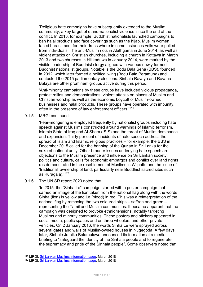'Religious hate campaigns have subsequently extended to the Muslim community, a key target of ethno-nationalist violence since the end of the conflict. In 2013, for example, Buddhist nationalists launched campaigns to ban halal products and face coverings such as the hijab. Muslim women faced harassment for their dress where in some instances veils were pulled from individuals. The anti-Muslim riots in Aluthgama in June 2014, as well as violent attacks on Christian churches, including a church in Kottawa in March 2013 and two churches in Hikkaduwa in January 2014, were marked by the visible leadership of Buddhist clergy aligned with various newly formed Buddhist nationalist groups. Notable is the Bodu Bala Sena (BBS), founded in 2012, which later formed a political wing (Bodu Bala Peramuna) and contested the 2015 parliamentary elections. Sinhala Ravaya and Ravana Balaya are other prominent groups active during this period.

'Anti-minority campaigns by these groups have included vicious propaganda, protest rallies and demonstrations, violent attacks on places of Muslim and Christian worship as well as the economic boycott of Muslim-owned businesses and halal products. These groups have operated with impunity, often in the presence of law enforcement officers.'<sup>111</sup>

#### 9.1.5 MRGI continued:

'Fear-mongering is employed frequently by nationalist groups including hate speech against Muslims constructed around warnings of Islamic terrorism, Islamic State of Iraq and Al-Sham (ISIS) and the threat of Muslim dominance and expansion. Thirty per cent of incidents of hate speech address the spread of Islam and Islamic religious practices – for example, the BBS in December 2015 called for the banning of the Qur'an in Sri Lanka for the sake of national unity. Other broader issues underlying hate speech are objections to the Muslim presence and influence on Sri Lankan society, politics and culture, calls for economic embargos and conflict over land rights (as demonstrated in the resettlement of Muslims in Wilpattu and the issue of 'traditional' ownership of land, particularly near Buddhist sacred sites such as Kuragala).'<sup>112</sup>

## 9.1.6 The UN SR report 2020 noted that:

'In 2015, the "Sinha Le" campaign started with a poster campaign that carried an image of the lion taken from the national flag along with the words Sinha (lion) in yellow and Le (blood) in red. This was a reinterpretation of the national flag by removing the two coloured strips – saffron and green – representing the Tamil and Muslim communities. It became apparent that the campaign was designed to provoke ethnic tensions, notably targeting Muslims and minority communities. These posters and stickers appeared in social media, public spaces and on three wheelers and other private vehicles. On 2 January 2016, the words Sinha Le were sprayed across several gates and walls of Muslim-owned houses in Nugegoda. A few days later, Sinhale Jathika Balamuluwa announced its formation at a media briefing to "safeguard the identity of the Sinhala people and to regenerate the supremacy and pride of the Sinhala people". Some observers noted that

<sup>111</sup> MRGI, [Sri Lankan Muslims information page,](https://minorityrights.org/minorities/muslims-4/) March 2018

<sup>112</sup> MRGI, [Sri Lankan Muslims information page,](https://minorityrights.org/minorities/muslims-4/) March 2018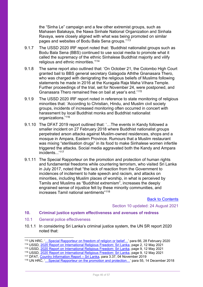the "Sinha Le" campaign and a few other extremist groups, such as Mahasen Balakaya, the Nawa Sinhale National Organization and Sinhala Ravaya, were closely aligned with what was being promoted on similar pages and websites of Bodu Bala Sena groups.' 113

- 9.1.7 The USSD 2020 IRF report noted that: 'Buddhist nationalist groups such as Bodu Bala Sena (BBS) continued to use social media to promote what it called the supremacy of the ethnic Sinhalese Buddhist majority and vilify religious and ethnic minorities.' 114
- 9.1.8 The same report also outlined that: 'On October 21, the Colombo High Court granted bail to BBS general secretary Galagoda Aththe Gnanasara Thero, who was charged with denigrating the religious beliefs of Muslims following statements he made in 2016 at the Kuragala Raja Maha Vihara Temple. Further proceedings of the trial, set for November 24, were postponed, and Gnanasara Thero remained free on bail at year's end.'<sup>115</sup>
- 9.1.9 The USSD 2020 IRF report noted in reference to state monitoring of religious minorities that: 'According to Christian, Hindu, and Muslim civil society groups, incidents of increased monitoring often occurred in concert with harassment by local Buddhist monks and Buddhist nationalist organizations.'<sup>116</sup>
- 9.1.10 The DFAT 2019 report outlined that: '…The events in Kandy followed a smaller incident on 27 February 2018 where Buddhist nationalist groups perpetrated arson attacks against Muslim-owned residences, shops and a mosque in Ampara, Eastern Province. Rumours that a Muslim restaurant was mixing "sterilisation drugs" in its food to make Sinhalese women infertile triggered the attacks. Social media aggravated both the Kandy and Ampara incidents...' 117
- 9.1.11 The Special Rapporteur on the promotion and protection of human rights and fundamental freedoms while countering terrorism, who visited Sri Lanka in July 2017, noted that "the lack of reaction from the Government to incidences of incitement to hate speech and racism, and attacks on minorities, including Muslim places of worship, in what is perceived by Tamils and Muslims as "Buddhist extremism", increases the deeply engrained sense of injustice felt by these minority communities, and increases Tamil national sentiments"<sup>118</sup>

<span id="page-45-2"></span>[Back to Contents](#page-3-0)

Section 10 updated: 24 August 2021

#### <span id="page-45-0"></span>**10. Criminal justice system effectiveness and avenues of redress**

- <span id="page-45-1"></span>10.1 General police effectiveness
- 10.1.1 In considering Sri Lanka's criminal justice system, the UN SR report 2020 noted that:

<sup>116</sup> USSD, [2020 Report on International Religious Freedom: Sri Lanka,](https://www.state.gov/reports/2020-report-on-international-religious-freedom/sri-lanka/) page 9, 12 May 2021

<sup>113</sup> UN HRC, '<u>…Special Rapporteur on freedom of religion or belief…'</u> para 66, 28 February 2020

<sup>114</sup> USSD, [2020 Report on International Religious Freedom: Sri Lanka,](https://www.state.gov/reports/2020-report-on-international-religious-freedom/sri-lanka/) page 2, 12 May 2021

<sup>&</sup>lt;sup>115</sup> USSD, [2020 Report on International Religious Freedom: Sri Lanka,](https://www.state.gov/reports/2020-report-on-international-religious-freedom/sri-lanka/) page 9, 12 May 2021

<sup>&</sup>lt;sup>117</sup> DFAT, [Country Information Report](https://www.dfat.gov.au/sites/default/files/country-information-report-sri-lanka.pdf) - Sri Lanka, para 3.37, 04 November 2019

<sup>1&</sup>lt;sup>18</sup> UN HRC, '...Special Rapporteur on the promotion and protection...' para 55, 14 December 2018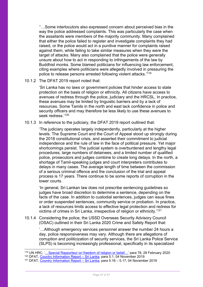''…Some interlocutors also expressed concern about perceived bias in the way the police addressed complaints. This was particularly the case when the assailants were members of the majority community. Many complained that either the police failed to register and investigate complaints they had raised, or the police would act in a punitive manner for complaints raised against them, while failing to take similar measures when they were the target of attacks. Many also complained that the police were generally unsure about how to act in responding to infringements of the law by Buddhist monks. Some blamed politicians for influencing law enforcement, citing examples where politicians were allegedly involved in pressuring the police to release persons arrested following violent attacks.' 119

#### 10.1.2 The DFAT 2019 report noted that:

'Sri Lanka has no laws or government policies that hinder access to state protection on the basis of religion or ethnicity. All citizens have access to avenues of redress through the police, judiciary and the HRCSL. In practice, these avenues may be limited by linguistic barriers and by a lack of resources. Some Tamils in the north and east lack confidence in police and security officers and may therefore be less likely to use these avenues to seek redress<sup>'120</sup>

#### 10.1.3 In reference to the judiciary, the DFAT 2019 report outlined that:

'The judiciary operates largely independently, particularly at the higher levels. The Supreme Court and the Court of Appeal stood up strongly during the 2018 constitutional crisis, and asserted their commitment to judicial independence and the rule of law in the face of political pressure. Yet major shortcomings persist. The judicial system is overburdened and lengthy legal procedures, large numbers of detainees, and a limited number of qualified police, prosecutors and judges combine to create long delays. In the north, a shortage of Tamil-speaking judges and court interpreters contributes to delays in many cases. The average length of time between the commission of a serious criminal offence and the conclusion of the trial and appeal process is 17 years. There continue to be some reports of corruption in the lower courts.

'In general, Sri Lankan law does not prescribe sentencing guidelines so judges have broad discretion to determine a sentence, depending on the facts of the case. In addition to custodial sentences, judges can issue fines or order suspended sentences, community service or probation. In practice, a lack of resources limits access to effective legal protection and redress for victims of crimes in Sri Lanka, irrespective of religion or ethnicity.'<sup>121</sup>

10.1.4 Considering the police, the USSD Overseas Security Advisory Council (OSAC) outlined in their Sri Lanka 2020 Crime and Safety Report that:

'…Although emergency services personnel answer the number 24 hours a day, police responsiveness may vary. Although there are allegations of corruption and politicization of security services, the Sri Lanka Police Service (SLPS) is becoming increasingly professional, specifically in its specialized

119 UN HRC, '<u>…Special Rapporteur on freedom of religion or belief…'</u> para 78, 28 February 2020

<sup>&</sup>lt;sup>120</sup> DFAT, [Country Information Report](https://www.dfat.gov.au/sites/default/files/country-information-report-sri-lanka.pdf) - Sri Lanka, para 5.1, 04 November 2019

<sup>&</sup>lt;sup>121</sup> DFAT, [Country Information Report](https://www.dfat.gov.au/sites/default/files/country-information-report-sri-lanka.pdf) – Sri Lanka, para 5.16 – 5.17, 04 November 2019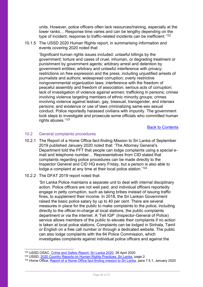units. However, police officers often lack resources/training, especially at the lower ranks… Response time varies and can be lengthy depending on the type of incident; response to traffic-related incidents can be inefficient.' 122

10.1.5 The USSD 2020 Human Rights report, in summarising information and events covering 2020 noted that:

'Significant human rights issues included: unlawful killings by the government; torture and cases of cruel, inhuman, or degrading treatment or punishment by government agents; arbitrary arrest and detention by government entities; arbitrary and unlawful interference with privacy; restrictions on free expression and the press, including unjustified arrests of journalists and authors; widespread corruption; overly restrictive nongovernmental organization laws; interference with the freedom of peaceful assembly and freedom of association; serious acts of corruption; lack of investigation of violence against women; trafficking in persons; crimes involving violence targeting members of ethnic minority groups; crimes involving violence against lesbian, gay, bisexual, transgender, and intersex persons; and existence or use of laws criminalizing same-sex sexual conduct. Police reportedly harassed civilians with impunity. The government took steps to investigate and prosecute some officials who committed human rights abuses.<sup>'123</sup>

[Back to Contents](#page-3-0)

#### <span id="page-47-0"></span>10.2 General complaints procedures

- 10.2.1 The Report of a Home Office fact-finding Mission to Sri Lanka of September 2019 published January 2020 noted that: 'The Attorney General's Department told the FFT that people can lodge complaints using a special email and telephone number… Representatives from CID stated that complaints regarding police procedures can be made directly to the Inspector General and CID HQ every Friday, but a person is also able to lodge a complaint at any time at their local police station.'<sup>124</sup>
- 10.2.2 The DFAT 2019 report noted that:

'Sri Lanka Police maintains a separate unit to deal with internal disciplinary action. Police officers are not well paid, and individual officers reportedly engage in petty corruption, such as taking bribes instead of issuing traffic fines, to supplement their income. In 2018, the Sri Lankan Government raised the basic police salary by up to 40 per cent. There are several measures in place for the public to make complaints to the police, including directly to the officer-in-charge at local stations, the public complaints department or via the internet. A 'Tell IGP' (Inspector-General of Police) service allows members of the public to elevate their complaints if no action is taken at local police stations. Complaints can be lodged in Sinhala, Tamil or English on a free call number or through a dedicated website. The public can also lodge complaints with the 64 Police Commission, which investigates complaints against individual police officers and against the

<sup>122</sup> USSD OSAC, [Crime and Safety Report: Sri Lanka 2020,](https://www.osac.gov/Country/SriLanka/Content/Detail/Report/02c5e26f-e7eb-44a8-b536-188dea9af39f) 28 April 2020

<sup>123</sup> USSD, [2020 Country Reports on Human Rights Practices: Sri Lanka,](https://www.state.gov/reports/2020-country-reports-on-human-rights-practices/sri-lanka/) page 2

<sup>124</sup> Home Office, [Report of a Home Office fact-finding mission to Sri Lanka,](https://assets.publishing.service.gov.uk/government/uploads/system/uploads/attachment_data/file/859277/Sri_Lanka_FFM_report_2020.pdf) para 7.5.1, January 2020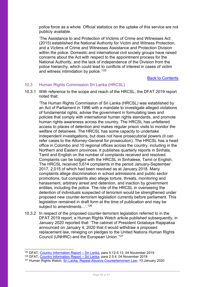police force as a whole. Official statistics on the uptake of this service are not publicly available.

'The Assistance to and Protection of Victims of Crime and Witnesses Act (2015) established the National Authority for Victim and Witness Protection, and a Victims of Crime and Witnesses Assistance and Protection Division within the police. Domestic and international civil society groups have raised concerns about the Act with respect to the appointment process for the National Authority, and the lack of independence of the Division from the police hierarchy, which could lead to conflicts of interest in cases of victim and witness intimidation by police.<sup>'125</sup>

[Back to Contents](#page-3-0)

### <span id="page-48-0"></span>10.3 Human Rights Commission Sri Lanka (HRCSL)

10.3.1 With reference to the scope and reach of the HRCSL, the DFAT 2019 report noted that:

'The Human Rights Commission of Sri Lanka (HRCSL) was established by an Act of Parliament in 1996 with a mandate to investigate alleged violations of fundamental rights, advise the government in formulating laws and policies that comply with international human rights standards, and promote human rights awareness across the country. The HRCSL has unfettered access to places of detention and makes regular prison visits to monitor the welfare of detainees. The HRCSL has some capacity to undertake independent investigations, but does not have prosecutorial powers (it can refer cases to the Attorney-General for prosecution). The HRCSL has a head office in Colombo and 10 regional offices across the country, including in the Northern and Eastern provinces. It publishes quarterly reports in Sinhala, Tamil and English on the number of complaints received and resolved. Complaints can be lodged with the HRCSL in Sinhalese, Tamil or English. The HRCSL received 5,614 complaints in the period January-September 2017, 2,015 of which had been resolved as at January 2018. Many complaints allege discrimination in school admissions and public sector promotions, but complaints also allege torture, threats, monitoring and harassment, arbitrary arrest and detention, and inaction by government entities, including the police. The role of the HRCSL in overseeing the detention of individuals suspected of terrorism would be strengthened under proposed new counter-terrorism legislation currently before parliament. This legislation remained in draft form at the time of publication and may be subject to amendments…'.<sup>126</sup>

10.3.2 In respect of the proposed counter-terrorism legislation referred to in the DFAT 2019 report, a Human Rights Watch article published subsequently, in January 2020 reported that: 'The cabinet of President Gotabaya Rajapaksa announced on January 4, 2020 that it would withdraw a proposed replacement law, reneging on pledges to the United Nations Human Rights Council (UNHRC) and the European Union.' 127

<sup>&</sup>lt;sup>125</sup> DFAT, [Country Information Report](https://www.dfat.gov.au/sites/default/files/country-information-report-sri-lanka.pdf) – Sri Lanka, para 5.12-5.13, 04 November 2019

<sup>&</sup>lt;sup>126</sup> DFAT, [Country Information Report](https://www.dfat.gov.au/sites/default/files/country-information-report-sri-lanka.pdf) - Sri Lanka, para 2.5.4, 04 November 2019

<sup>&</sup>lt;sup>127</sup> Human Rights Watch, <u>Sri Lanka: Repeal Abusive Counterterrorism Law</u>, 10 January 2020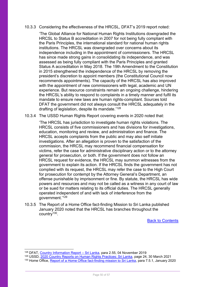#### 10.3.3 Considering the effectiveness of the HRCSL, DFAT's 2019 report noted:

'The Global Alliance for National Human Rights Institutions downgraded the HRCSL to Status B accreditation in 2007 for not being fully compliant with the Paris Principles, the international standard for national human rights institutions. The HRCSL was downgraded over concerns about its independence including in the appointment of commissioners. The HRCSL has since made strong gains in consolidating its independence, and was assessed as being fully compliant with the Paris Principles and granted Status A accreditation in May 2018. The 19th Amendment to the Constitution in 2015 strengthened the independence of the HRCSL by removing the president's discretion to appoint members (the Constitutional Council now recommends appointments). The capacity of the HRCSL has also improved with the appointment of new commissioners with legal, academic and UN experience. But resource constraints remain an ongoing challenge, hindering the HRCSL's ability to respond to complaints in a timely manner and fulfil its mandate to ensure new laws are human rights-compliant. Sources told DFAT the government did not always consult the HRCSL adequately in the drafting of legislation, despite its mandate.'128

10.3.4 The USSD Human Rights Report covering events in 2020 noted that:

'The HRCSL has jurisdiction to investigate human rights violations. The HRCSL consists of five commissioners and has divisions for investigations, education, monitoring and review, and administration and finance. The HRCSL accepts complaints from the public and may also self initiate investigations. After an allegation is proven to the satisfaction of the commission, the HRCSL may recommend financial compensation for victims, refer the case for administrative disciplinary action or to the attorney general for prosecution, or both. If the government does not follow an HRCSL request for evidence, the HRCSL may summon witnesses from the government to explain its action. If the HRCSL finds the government has not complied with its request, the HRCSL may refer the case to the High Court for prosecution for contempt by the Attorney General's Department, an offense punishable by imprisonment or fine. By statute, the HRCSL has wide powers and resources and may not be called as a witness in any court of law or be sued for matters relating to its official duties. The HRCSL generally operated independent of and with lack of interference from the government.'<sup>129</sup>

10.3.5 The Report of a Home Office fact-finding Mission to Sri Lanka published January 2020 noted that the HRCSL has branches throughout the country<sup>130</sup>.

[Back to Contents](#page-3-0)

<sup>&</sup>lt;sup>128</sup> DFAT, [Country Information Report](https://www.dfat.gov.au/sites/default/files/country-information-report-sri-lanka.pdf) – Sri Lanka, para 2.55, 04 November 2019

<sup>&</sup>lt;sup>129</sup> USSD, [2020 Country Reports on Human Rights Practices: Sri Lanka,](https://www.state.gov/wp-content/uploads/2021/03/SRI-LANKA-2020-HUMAN-RIGHTS-REPORT.pdf) page 24, 30 March 2021 <sup>130</sup> Home Office, [Report of a Home Office fact-finding mission to Sri Lanka,](https://assets.publishing.service.gov.uk/government/uploads/system/uploads/attachment_data/file/859277/Sri_Lanka_FFM_report_2020.pdf) para 7.5.1, January 2020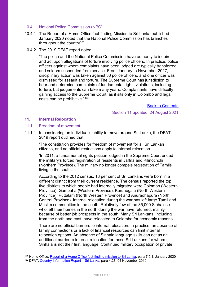## <span id="page-50-0"></span>10.4 National Police Commission (NPC)

- 10.4.1 The Report of a Home Office fact-finding Mission to Sri Lanka published January 2020 noted that the National Police Commission has branches throughout the country<sup>131</sup>.
- 10.4.2 The 2019 DFAT report noted:

'The police and the National Police Commission have authority to inquire and act upon allegations of torture involving police officers. In practice, police officers against whom complaints have been lodged are typically transferred and seldom suspended from service. From January to November 2017, disciplinary action was taken against 33 police officers, and one officer was dismissed for assault and torture. The Supreme Court has jurisdiction to hear and determine complaints of fundamental rights violations, including torture, but judgements can take many years. Complainants have difficulty gaining access to the Supreme Court, as it sits only in Colombo and legal costs can be prohibitive.' <sup>132</sup>

[Back to Contents](#page-3-0)

Section 11 updated: 24 August 2021

#### <span id="page-50-3"></span><span id="page-50-1"></span>**11. Internal Relocation**

#### <span id="page-50-2"></span>11.1 Freedom of movement

11.1.1 In considering an individual's ability to move around Sri Lanka, the DFAT 2019 report outlined that:

'The constitution provides for freedom of movement for all Sri Lankan citizens, and no official restrictions apply to internal relocation.

'In 2011, a fundamental rights petition lodged in the Supreme Court ended the military's forced registration of residents in Jaffna and Kilinochchi (Northern Province). The military no longer compels registration of Tamils living in the south.

According to the 2012 census, 18 per cent of Sri Lankans were born in a different district from their current residence. The census reported the top five districts to which people had internally migrated were Colombo (Western Province), Gampaha (Western Province), Kurunegala (North Western Province), Puttalam (North Western Province) and Anuradhapura (North Central Province). Internal relocation during the war has left large Tamil and Muslim communities in the south. Relatively few of the 35,000 Sinhalese who left their homes in the north during the war have returned, mainly because of better job prospects in the south. Many Sri Lankans, including from the north and east, have relocated to Colombo for economic reasons.

There are no official barriers to internal relocation. In practice, an absence of family connections or a lack of financial resources can limit internal relocation options. An absence of Sinhala language skills can act as an additional barrier to internal relocation for those Sri Lankans for whom Sinhala is not their first language. Continued military occupation of private

<sup>131</sup> Home Office, [Report of a Home Office fact-finding mission to Sri Lanka,](https://assets.publishing.service.gov.uk/government/uploads/system/uploads/attachment_data/file/859277/Sri_Lanka_FFM_report_2020.pdf) para 7.5.1, January 2020 <sup>132</sup> DFAT, [Country Information Report](https://www.dfat.gov.au/sites/default/files/country-information-report-sri-lanka.pdf) – Sri Lanka, para 4.27, 04 November 2019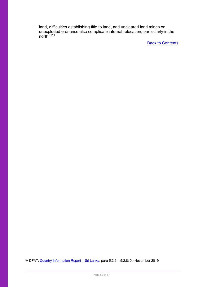land, difficulties establishing title to land, and uncleared land mines or unexploded ordnance also complicate internal relocation, particularly in the north.'<sup>133</sup>

**[Back to Contents](#page-3-0)** 

133 DFAT, [Country Information Report](https://www.dfat.gov.au/sites/default/files/country-information-report-sri-lanka.pdf) – Sri Lanka, para 5.2.6 – 5.2.8, 04 November 2019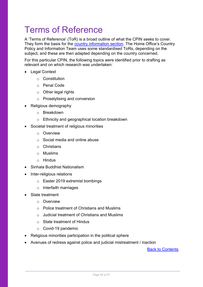## <span id="page-52-0"></span>Terms of Reference

A 'Terms of Reference' (ToR) is a broad outline of what the CPIN seeks to cover. They form the basis for the [country information section.](#page-14-0) The Home Office's Country Policy and Information Team uses some standardised ToRs, depending on the subject, and these are then adapted depending on the country concerned.

For this particular CPIN, the following topics were identified prior to drafting as relevant and on which research was undertaken:

- Legal Context
	- o Constitution
	- o Penal Code
	- o Other legal rights
	- o Proselytising and conversion
- Religious demography
	- o Breakdown
	- o Ethnicity and geographical location breakdown
- Societal treatment of religious minorities
	- o Overview
	- $\circ$  Social media and online abuse
	- o Christians
	- o Muslims
	- o Hindus
- Sinhala Buddhist Nationalism
- Inter-religious relations
	- o Easter 2019 extremist bombings
	- o Interfaith marriages
- State treatment
	- o Overview
	- o Police treatment of Christians and Muslims
	- $\circ$  Judicial treatment of Christians and Muslims
	- o State treatment of Hindus
	- o Covid-19 pandemic
- Religious minorities participation in the political sphere
- Avenues of redress against police and judicial mistreatment / inaction

[Back to Contents](#page-3-0)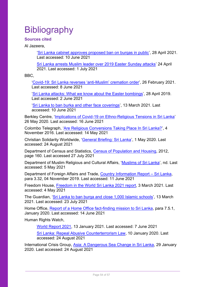# <span id="page-53-0"></span>**Bibliography**

## <span id="page-53-1"></span>**Sources cited**

Al Jazeera,

'[Sri Lanka cabinet approves proposed ban on burqas in public](https://www.aljazeera.com/news/2021/4/28/sri-lanka-cabinet-approves-proposed-ban-on-burqas-in-public)', 28 April 2021. Last accessed: 10 June 2021

[Sri Lanka arrests Muslim leader over 2019 Easter Sunday attacks](https://www.aljazeera.com/news/2021/4/24/sri-lanka-arrests-muslim-leader-over-easter-attacks)' 24 April 2021. Last accessed: 1 July 2021

BBC,

'Covid-[19: Sri Lanka reverses 'anti](https://www.bbc.co.uk/news/world-asia-56205737)-Muslim' cremation order', 26 February 2021. Last accessed: 8 June 2021

'[Sri Lanka attacks: What we know about the Easter bombings](https://www.bbc.co.uk/news/world-asia-48010697)', 28 April 2019. Last accessed: 2 June 2021

'[Sri Lanka to ban burka and other face coverings](https://www.bbc.co.uk/news/world-asia-56386426)', 13 March 2021. Last accessed: 10 June 2021

Berkley Centre, '[Implications of Covid-19 on Ethno-Religious Tensions in Sri Lanka](https://berkleycenter.georgetown.edu/posts/implications-of-covid-19-on-ethno-religious-tensions-in-sri-lanka)' 26 May 2020. Last accessed: 16 June 2021

Colombo Telegraph, '[Are Religious Conversions Taking Place In Sri Lanka?](https://www.colombotelegraph.com/index.php/are-religious-conversions-taking-place-in-sri-lanka/)', 4 November 2016. Last accessed: 14 May 2021

Christian Solidarity Worldwide, '[General Briefing: Sri Lanka](https://www.csw.org.uk/2020/05/01/report/4640/article.htm)', 1 May 2020. Last accessed: 24 August 2021

Department of Census and Statistics, [Census of Population and Housing,](https://ukhomeoffice.sharepoint.com/sites/PROC975/SharedDocuments/Countries/Sri%20Lanka/CPINs/Microsoft%20Word%20-%20FinalReportE.doc%20(statistics.gov.lk)) 2012, page 160. Last accessed 27 July 2021

Department of Muslim Religious and Cultural Affairs, '[Muslims of Sri Lanka](https://muslimaffairs.gov.lk/muslims-of-sri-lanka/)', nd. Last accessed: 5 May 2021

Department of Foreign Affairs and Trade, [Country Information Report](https://www.dfat.gov.au/sites/default/files/country-information-report-sri-lanka.pdf) – Sri Lanka, para 3.32, 04 November 2019. Last accessed: 11 June 2021

Freedom House, [Freedom in the World Sri Lanka 2021 report,](https://freedomhouse.org/country/sri-lanka/freedom-world/2021) 3 March 2021. Last accessed: 4 May 2021

The Guardian, '[Sri Lanka to ban burqa and close 1,000 Islamic schools](https://www.theguardian.com/world/2021/mar/13/sri-lanka-to-ban-burka-and-close-1000-islamic-schools)', 13 March 2021. Last accessed: 23 July 2021

Home Office, [Report of a Home Office fact-finding mission to Sri Lanka,](https://assets.publishing.service.gov.uk/government/uploads/system/uploads/attachment_data/file/859277/Sri_Lanka_FFM_report_2020.pdf) para 7.5.1, January 2020. Last accessed: 14 June 2021

Human Rights Watch,

[World Report 2021,](https://www.hrw.org/world-report/2021/country-chapters/sri-lanka) 13 January 2021. Last accessed: 7 June 2021

[Sri Lanka: Repeal Abusive Counterterrorism Law,](https://www.hrw.org/news/2020/01/10/sri-lanka-repeal-abusive-counterterrorism-law) 10 January 2020. Last accessed: 24 August 2021

International Crisis Group, [Asia: A Dangerous Sea Change in Sri Lanka,](https://www.crisisgroup.org/watch-list-2020#sri) 29 January 2020. Last accessed: 24 August 2021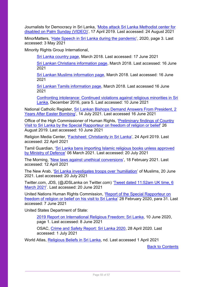Journalists for Democracy in Sri Lanka, 'Mobs attack Sri Lanka Methodist center for [disabled on Palm Sunday](http://www.jdslanka.org/index.php/news-features/human-rights/876-mobs-attack-sri-lanka-methodist-center-for-disabled-on-palm-sunday) (VIDEO)', 17 April 2019. Last accessed: 24 August 2021

MinorMatters, '[Hate Speech in Sri Lanka during the pandemic](https://www.minormatters.org/storage/app/uploads/public/5fc/76b/014/5fc76b014d43f554793096.pdf)', 2020, page 3. Last accessed: 3 May 2021

Minority Rights Group International,

[Sri Lanka country page,](https://minorityrights.org/country/sri-lanka/) March 2018. Last accessed: 17 June 2021

[Sri Lankan Christians information page,](https://minorityrights.org/minorities/christians-4/) March 2018. Last accessed: 16 June 2021

[Sri Lankan Muslims information page,](https://minorityrights.org/minorities/muslims-4/) March 2018. Last accessed: 16 June 2021

[Sri Lankan Tamils information page,](https://minorityrights.org/minorities/tamils/) March 2018. Last accessed 16 June 2021

[Confronting intolerance: Continued violations against religious minorities in Sri](http://minorityrights.org/wp-content/uploads/2016/12/MRG_Rep_SriLan_Dec16.pdf)  [Lanka,](http://minorityrights.org/wp-content/uploads/2016/12/MRG_Rep_SriLan_Dec16.pdf) December 2016, para 5. Last accessed: 10 June 2021

National Catholic Register, Sri Lankan Bishops Demand Answers From President, 2 [Years After Easter Bombing](https://www.ncregister.com/cna/sri-lankan-bishops-demand-answers-from-president-2-years-after-easter-bombing)', 14 July 2021. Last accessed 16 June 2021

Office of the High Commissioner of Human Rights, '[Preliminary findings of Country](https://www.ohchr.org/EN/NewsEvents/Pages/DisplayNews.aspx?NewsID=24918&LangID=E)  [Visit to Sri Lanka by the Special Rapporteur](https://www.ohchr.org/EN/NewsEvents/Pages/DisplayNews.aspx?NewsID=24918&LangID=E) on freedom of religion or belief' 26 August 2019. Last accessed: 10 June 2021

Religion Media Center, '[Factsheet: Christianity in Sri Lanka](https://religionmediacentre.org.uk/factsheets/christianity-in-sri-lanka/)', 24 April 2019. Last accessed: 22 April 2021

Tamil Guardian, '[Sri Lanka bans importing Islamic religious books](https://www.tamilguardian.com/content/sri-lanka-bans-importing-islamic-religious-books-unless-approved-ministry-defence) unless approved [by Ministry of Defence](https://www.tamilguardian.com/content/sri-lanka-bans-importing-islamic-religious-books-unless-approved-ministry-defence)' 06 March 2021. Last accessed: 20 July 2021

The Morning, '[New laws against unethical conversions](https://www.themorning.lk/new-laws-against-unethical-conversions/)', 18 February 2021. Last accessed: 12 April 2021

The New Arab, ['Sri Lanka investigates troops over 'humiliation'](https://english.alaraby.co.uk/news/sri-lanka-investigates-troops-over-humiliation-muslims) of Muslims, 20 June 2021. Last accessed: 20 July 2021

Twitter.com, JDS, (@JDSLanka on Twitter.com) '[Tweet dated 11:52am UK time, 6](https://twitter.com/JDSLanka/status/1368167665395728392)  [March 2021](https://twitter.com/JDSLanka/status/1368167665395728392)'. Last accessed: 20 June 2021

United Nations Human Rights Commission, '[Report of the Special Rapporteur on](https://undocs.org/A/HRC/43/48/Add.2)  [freedom of religion or belief](https://undocs.org/A/HRC/43/48/Add.2) on his visit to Sri Lanka' 28 February 2020, para 31. Last accessed: 7 June 2021

United States Department of State:

[2019 Report on International Religious Freedom: Sri Lanka,](https://www.state.gov/reports/2019-report-on-international-religious-freedom/sri-lanka/) 10 June 2020, page 1. Last accessed: 8 June 2021

OSAC, [Crime and Safety Report: Sri Lanka 2020,](https://www.osac.gov/Country/SriLanka/Content/Detail/Report/02c5e26f-e7eb-44a8-b536-188dea9af39f) 28 April 2020. Last accessed: 1 July 2021

World Atlas, [Religious Beliefs in Sri Lanka,](https://www.worldatlas.com/articles/religious-beliefs-in-sri-lanka.html#:~:text=Religious%20Beliefs%20In%20Sri%20Lanka%20%20%20,%20%206.1%25%20%202%20more%20rows%20) nd. Last accessed 1 April 2021

[Back to Contents](#page-3-0)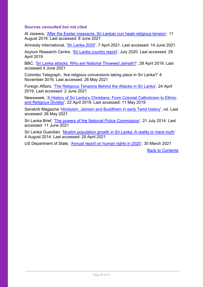## <span id="page-55-0"></span>**Sources consulted but not cited**

Al Jazeera, '[After the Easter massacre, Sri Lankan nun heals religious tension](https://www.aljazeera.com/features/2019/8/11/after-the-easter-massacre-sri-lanka-nun-heals-religious-tension)', 11 August 2019. Last accessed: 8 June 2021

Amnesty International, '[Sri Lanka 2020](https://www.amnesty.org/en/countries/asia-and-the-pacific/sri-lanka/report-sri-lanka/)', 7 April 2021. Last accessed: 14 June 2021

Asylum Research Centre, '[Sri Lanka country report](https://www.ecoi.net/en/file/local/2033016/FINAL_ARC_COI_report_on_Sri_Lanka_July_2020PDF.pdf)', July 2020. Last accessed: 29 April 2019

BBC, '[Sri Lanka attacks: Who are National Thoweed Jamath?](https://www.bbc.co.uk/news/world-asia-48012694)', 28 April 2019. Last accessed 4 June 2021

Colombo Telegraph, 'Are religious conversions taking place in Sri Lanka?' 4 November 2016. Last accessed: 26 May 2021

Foreign Affairs, 'The Religious Tensions [Behind the Attacks in Sri Lanka](https://www.foreignaffairs.com/articles/sri-lanka/2019-04-24/religious-tensions-behind-attacks-sri-lanka)', 24 April 2019. Last accessed: 2 June 2021

Newsweek, 'A History of Sri Lanka's Christians[: From Colonial Catholicism to Ethnic](https://www.newsweek.com/history-sri-lankas-christians-catholic-ethnic-divides-1402477)  [and Religious Divides](https://www.newsweek.com/history-sri-lankas-christians-catholic-ethnic-divides-1402477)', 22 April 2019. Last accessed: 11 May 2019

Sanskriti Magazine '[Hinduism, Jainism and Buddhism in early Tamil history](https://www.sanskritimagazine.com/india/hinduism-jainism-and-buddhism-in-early-tamil-history/)', nd. Last accessed: 26 May 2021

Sri Lanka Brief, '[The powers of the National Police Commission](https://srilankabrief.org/the-powers-of-the-national-police-commission-2/#:~:text=The%20National%20Police%20Commission%2C%20was%20inaugurated%20in%20November,defunct%20due%20to%20the%20failure%20to%20appoint%20new)', 21 July 2014. Last accessed: 11 June 2021

Sri Lanka Guardian, '[Muslim population growth in Sri Lanka: A reality or mere myth](http://www.srilankaguardian.org/2014/08/muslim-population-growth-in-sri-lanka.html)' 4 August 2014. Last accessed: 20 April 2021

US Department of State, '[Annual report on human rights in 2020](https://www.state.gov/reports/2020-country-reports-on-human-rights-practices/sri-lanka/)', 30 March 2021

[Back to Contents](#page-3-0)